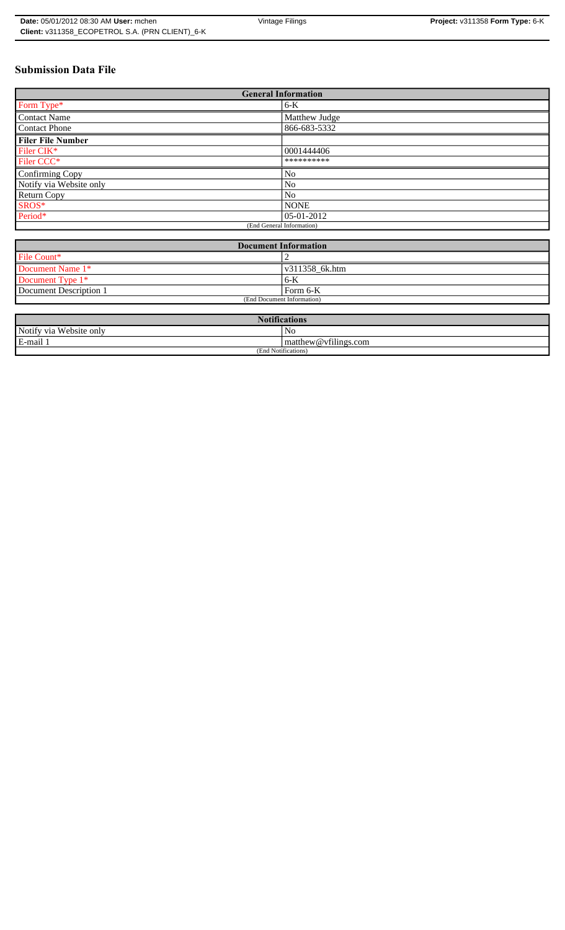### **Submission Data File**

| <b>General Information</b> |                |  |
|----------------------------|----------------|--|
| Form Type*                 | $6-K$          |  |
| <b>Contact Name</b>        | Matthew Judge  |  |
| <b>Contact Phone</b>       | 866-683-5332   |  |
| <b>Filer File Number</b>   |                |  |
| Filer CIK*                 | 0001444406     |  |
| Filer CCC*                 | **********     |  |
| Confirming Copy            | No             |  |
| Notify via Website only    | No             |  |
| <b>Return Copy</b>         | N <sub>0</sub> |  |
| SROS*                      | <b>NONE</b>    |  |
| Period*                    | 05-01-2012     |  |
| (End General Information)  |                |  |

| <b>Document Information</b> |                        |
|-----------------------------|------------------------|
| File Count*                 |                        |
| Document Name 1*            | $\sqrt{311358}$ 6k.htm |
| Document Type 1*            | 6-K                    |
| Document Description 1      | Form 6-K               |
| (End Document Information)  |                        |

| <b>Notifications</b>         |                      |  |
|------------------------------|----------------------|--|
| Notify via<br>a Website only | NC                   |  |
| E-mail                       | matthew@vfilings.com |  |
| (End Notifications)          |                      |  |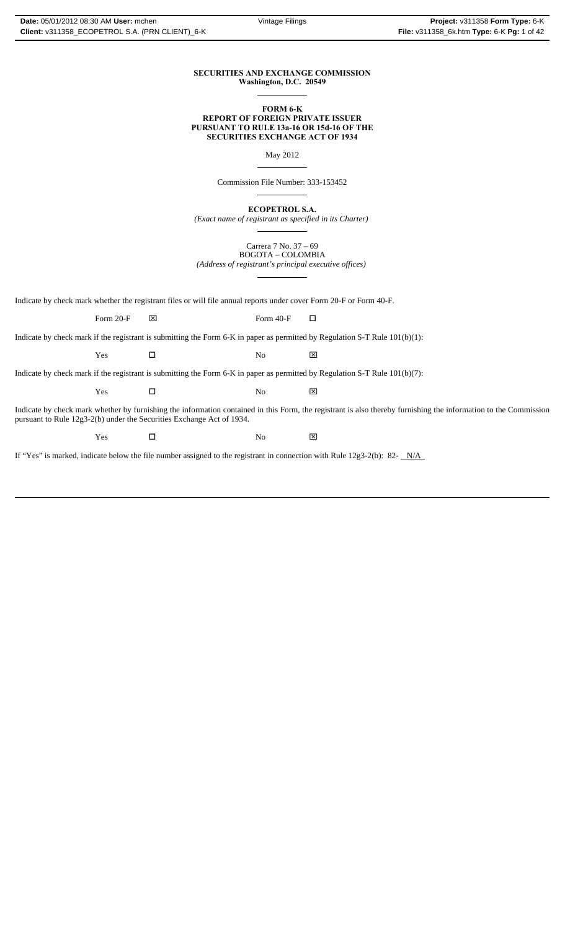#### **SECURITIES AND EXCHANGE COMMISSION Washington, D.C. 20549**

 $\overline{a}$ 

 $\overline{a}$ 

 $\overline{a}$ 

 $\overline{a}$ 

 $\overline{a}$ 

#### **FORM 6-K REPORT OF FOREIGN PRIVATE ISSUER PURSUANT TO RULE 13a-16 OR 15d-16 OF THE SECURITIES EXCHANGE ACT OF 1934**

May 2012

Commission File Number: 333-153452

**ECOPETROL S.A.** *(Exact name of registrant as specified in its Charter)*

Carrera 7 No. 37 – 69 BOGOTA – COLOMBIA *(Address of registrant's principal executive offices)*

Indicate by check mark whether the registrant files or will file annual reports under cover Form 20-F or Form 40-F.

Form 20-F  $\boxtimes$  Form 40-F  $\Box$ 

Indicate by check mark if the registrant is submitting the Form 6-K in paper as permitted by Regulation S-T Rule 101(b)(1):

Yes No ⌧

Indicate by check mark if the registrant is submitting the Form 6-K in paper as permitted by Regulation S-T Rule 101(b)(7):

Yes No ⌧

Indicate by check mark whether by furnishing the information contained in this Form, the registrant is also thereby furnishing the information to the Commission pursuant to Rule 12g3-2(b) under the Securities Exchange Act of 1934.

Yes No ⌧

If "Yes" is marked, indicate below the file number assigned to the registrant in connection with Rule 12g3-2(b): 82-  $N/A$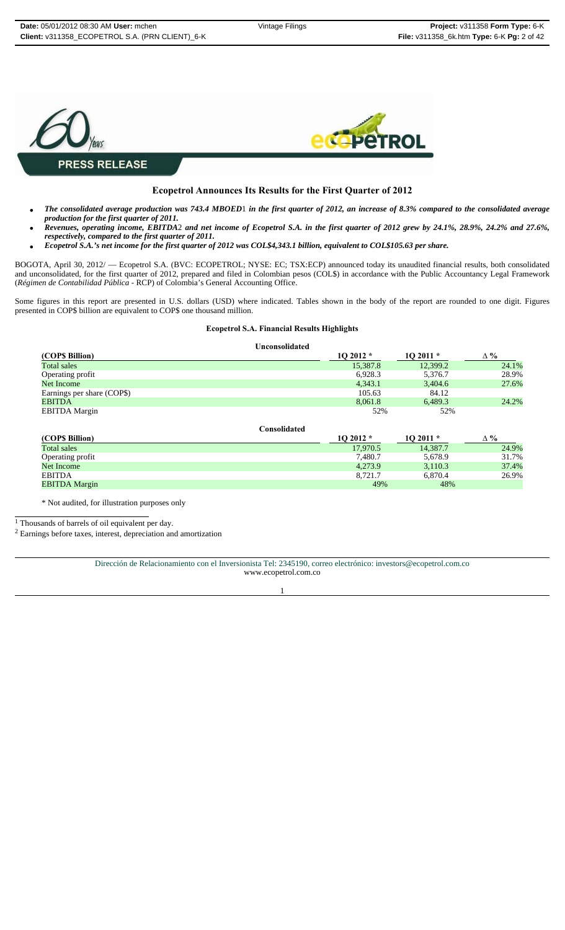

### **Ecopetrol Announces Its Results for the First Quarter of 2012**

- *The consolidated average production was 743.4 MBOED*1 *in the first quarter of 2012, an increase of 8.3% compared to the consolidated average production for the first quarter of 2011.*
- *Revenues, operating income, EBITDA*2 *and net income of Ecopetrol S.A. in the first quarter of 2012 grew by 24.1%, 28.9%, 24.2% and 27.6%, respectively, compared to the first quarter of 2011.*
- *Ecopetrol S.A.'s net income for the first quarter of 2012 was COL\$4,343.1 billion, equivalent to COL\$105.63 per share.*

BOGOTA, April 30, 2012/ — Ecopetrol S.A. (BVC: ECOPETROL; NYSE: EC; TSX:ECP) announced today its unaudited financial results, both consolidated and unconsolidated, for the first quarter of 2012, prepared and filed in Colombian pesos (COL\$) in accordance with the Public Accountancy Legal Framework (*Régimen de Contabilidad Pública* - RCP) of Colombia's General Accounting Office.

Some figures in this report are presented in U.S. dollars (USD) where indicated. Tables shown in the body of the report are rounded to one digit. Figures presented in COP\$ billion are equivalent to COP\$ one thousand million.

#### **Ecopetrol S.A. Financial Results Highlights**

|                            | <b>Unconsolidated</b> |           |           |             |
|----------------------------|-----------------------|-----------|-----------|-------------|
| (COP\$ Billion)            |                       | $102012*$ | $102011*$ | $\Delta \%$ |
| Total sales                |                       | 15,387.8  | 12,399.2  | 24.1%       |
| Operating profit           |                       | 6,928.3   | 5,376.7   | 28.9%       |
| Net Income                 |                       | 4,343.1   | 3,404.6   | 27.6%       |
| Earnings per share (COP\$) |                       | 105.63    | 84.12     |             |
| <b>EBITDA</b>              |                       | 8,061.8   | 6,489.3   | 24.2%       |
| <b>EBITDA</b> Margin       |                       | 52%       | 52%       |             |
|                            | Consolidated          |           |           |             |
| (COP\$ Billion)            |                       | $102012*$ | $102011*$ | $\Delta \%$ |
| <b>Total sales</b>         |                       | 17,970.5  | 14,387.7  | 24.9%       |
| Operating profit           |                       | 7,480.7   | 5,678.9   | 31.7%       |
| Net Income                 |                       | 4,273.9   | 3,110.3   | 37.4%       |

Net Income 3,110.3 37.4% and 37.4% 3,110.3 37.4% and 37.4% 3,110.3 37.4% EBITDA 8,721.7 6,870.4 26.9%

EBITDA Margin 49% 48%

\* Not audited, for illustration purposes only

1 Thousands of barrels of oil equivalent per day.

2 Earnings before taxes, interest, depreciation and amortization

Dirección de Relacionamiento con el Inversionista Tel: 2345190, correo electrónico: investors@ecopetrol.com.co www.ecopetrol.com.co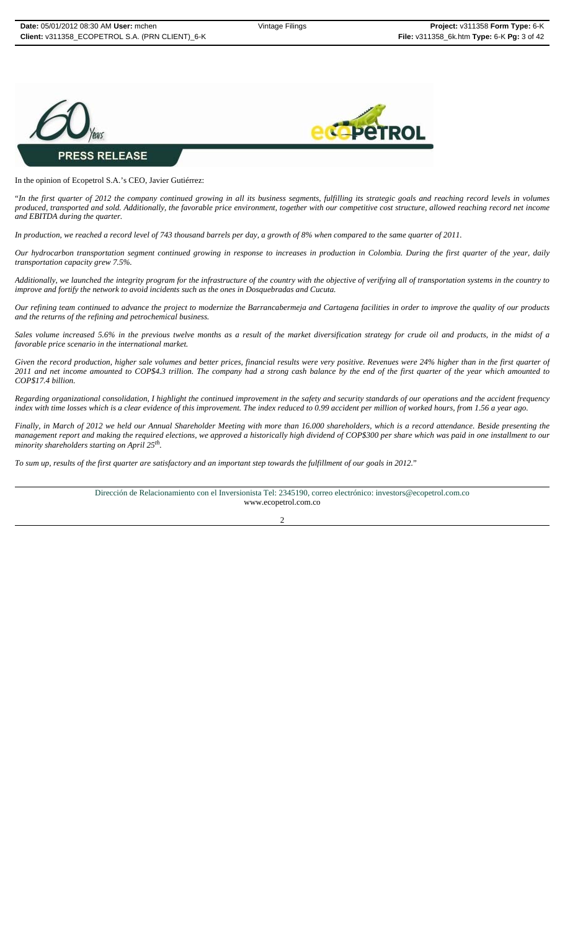



#### In the opinion of Ecopetrol S.A.'s CEO, Javier Gutiérrez:

"*In the first quarter of 2012 the company continued growing in all its business segments, fulfilling its strategic goals and reaching record levels in volumes produced, transported and sold. Additionally, the favorable price environment, together with our competitive cost structure, allowed reaching record net income and EBITDA during the quarter.* 

*In production, we reached a record level of 743 thousand barrels per day, a growth of 8% when compared to the same quarter of 2011.*

*Our hydrocarbon transportation segment continued growing in response to increases in production in Colombia. During the first quarter of the year, daily transportation capacity grew 7.5%.* 

*Additionally, we launched the integrity program for the infrastructure of the country with the objective of verifying all of transportation systems in the country to improve and fortify the network to avoid incidents such as the ones in Dosquebradas and Cucuta.* 

*Our refining team continued to advance the project to modernize the Barrancabermeja and Cartagena facilities in order to improve the quality of our products and the returns of the refining and petrochemical business.*

*Sales volume increased 5.6% in the previous twelve months as a result of the market diversification strategy for crude oil and products, in the midst of a favorable price scenario in the international market.*

*Given the record production, higher sale volumes and better prices, financial results were very positive. Revenues were 24% higher than in the first quarter of 2011 and net income amounted to COP\$4.3 trillion. The company had a strong cash balance by the end of the first quarter of the year which amounted to COP\$17.4 billion.*

*Regarding organizational consolidation, I highlight the continued improvement in the safety and security standards of our operations and the accident frequency index with time losses which is a clear evidence of this improvement. The index reduced to 0.99 accident per million of worked hours, from 1.56 a year ago.* 

*Finally, in March of 2012 we held our Annual Shareholder Meeting with more than 16.000 shareholders, which is a record attendance. Beside presenting the management report and making the required elections, we approved a historically high dividend of COP\$300 per share which was paid in one installment to our minority shareholders starting on April 25th.*

*To sum up, results of the first quarter are satisfactory and an important step towards the fulfillment of our goals in 2012.*"

Dirección de Relacionamiento con el Inversionista Tel: 2345190, correo electrónico: investors@ecopetrol.com.co www.ecopetrol.com.co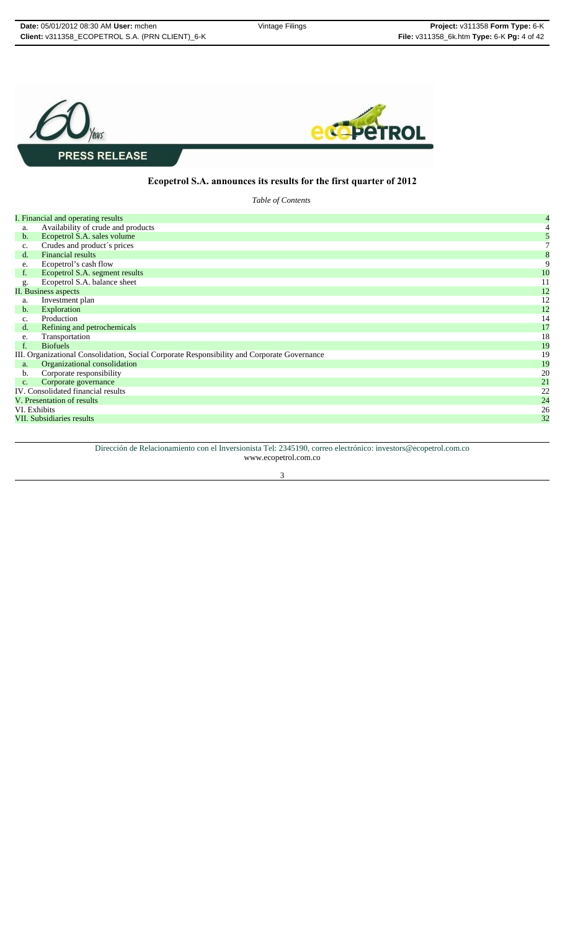

### **Ecopetrol S.A. announces its results for the first quarter of 2012**

*Table of Contents* 

|                | I. Financial and operating results                                                          | 4  |
|----------------|---------------------------------------------------------------------------------------------|----|
| a.             | Availability of crude and products                                                          |    |
| $\mathbf{b}$ . | Ecopetrol S.A. sales volume                                                                 |    |
| c.             | Crudes and product's prices                                                                 |    |
| $d_{\cdot}$    | Financial results                                                                           | 8  |
| e.             | Ecopetrol's cash flow                                                                       | 9  |
| f.             | Ecopetrol S.A. segment results                                                              | 10 |
| g.             | Ecopetrol S.A. balance sheet                                                                | 11 |
|                | <b>II. Business aspects</b>                                                                 | 12 |
| a.             | Investment plan                                                                             | 12 |
| b.             | Exploration                                                                                 | 12 |
| $\mathbf{c}$ . | Production                                                                                  | 14 |
| d.             | Refining and petrochemicals                                                                 | 17 |
| e.             | Transportation                                                                              | 18 |
| $f_{\rm{r}}$   | <b>Biofuels</b>                                                                             | 19 |
|                | III. Organizational Consolidation, Social Corporate Responsibility and Corporate Governance | 19 |
| a.             | Organizational consolidation                                                                | 19 |
| b.             | Corporate responsibility                                                                    | 20 |
| $C_{\star}$    | Corporate governance                                                                        | 21 |
|                | IV. Consolidated financial results                                                          | 22 |
|                | V. Presentation of results                                                                  | 24 |
| VI. Exhibits   |                                                                                             | 26 |
|                | VII. Subsidiaries results                                                                   | 32 |

Dirección de Relacionamiento con el Inversionista Tel: 2345190, correo electrónico: investors@ecopetrol.com.co www.ecopetrol.com.co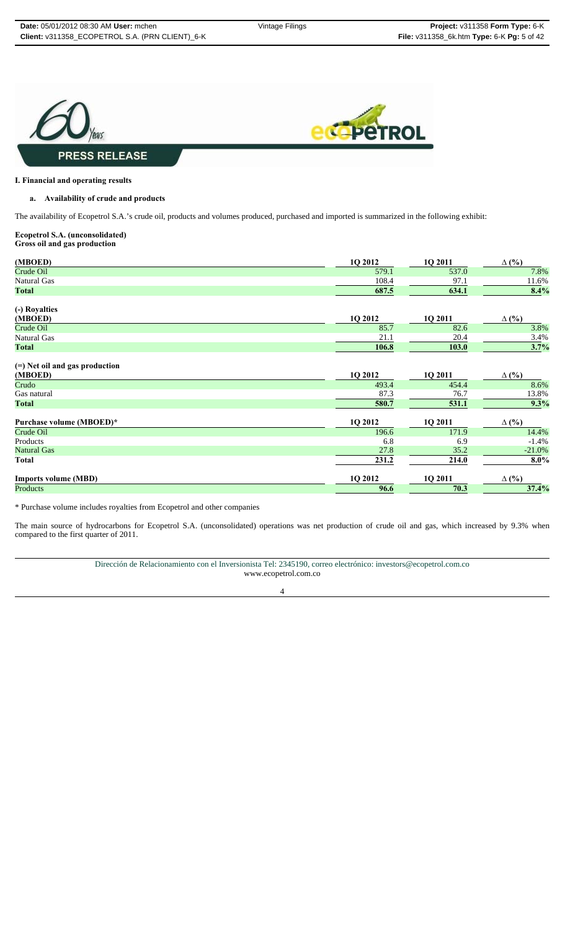

#### **I. Financial and operating results**

#### **a. Availability of crude and products**

The availability of Ecopetrol S.A.'s crude oil, products and volumes produced, purchased and imported is summarized in the following exhibit:

#### **Ecopetrol S.A. (unconsolidated) Gross oil and gas production**

| (MBOED)                          | 1Q 2012 | 1Q 2011 | $\Delta$ (%) |
|----------------------------------|---------|---------|--------------|
| Crude Oil                        | 579.1   | 537.0   | 7.8%         |
| Natural Gas                      | 108.4   | 97.1    | 11.6%        |
| <b>Total</b>                     | 687.5   | 634.1   | 8.4%         |
| (-) Royalties                    |         |         |              |
| (MBOED)                          | 1Q 2012 | 1Q 2011 | $\Delta$ (%) |
| Crude Oil                        | 85.7    | 82.6    | 3.8%         |
| Natural Gas                      | 21.1    | 20.4    | 3.4%         |
| <b>Total</b>                     | 106.8   | 103.0   | 3.7%         |
| $(=)$ Net oil and gas production |         |         |              |
| (MBOED)                          | 1Q 2012 | 1Q 2011 | $\Delta$ (%) |
| Crudo                            | 493.4   | 454.4   | 8.6%         |
| Gas natural                      | 87.3    | 76.7    | 13.8%        |
| <b>Total</b>                     | 580.7   | 531.1   | 9.3%         |
| Purchase volume (MBOED)*         | 1Q 2012 | 1Q 2011 | $\Delta$ (%) |
| Crude Oil                        | 196.6   | 171.9   | 14.4%        |
| Products                         | 6.8     | 6.9     | $-1.4%$      |
| <b>Natural Gas</b>               | 27.8    | 35.2    | $-21.0%$     |
| <b>Total</b>                     | 231.2   | 214.0   | $8.0\%$      |
| <b>Imports volume (MBD)</b>      | 1Q 2012 | 1Q 2011 | $\Delta$ (%) |
| Products                         | 96.6    | 70.3    | 37.4%        |

\* Purchase volume includes royalties from Ecopetrol and other companies

The main source of hydrocarbons for Ecopetrol S.A. (unconsolidated) operations was net production of crude oil and gas, which increased by 9.3% when compared to the first quarter of 2011.

> Dirección de Relacionamiento con el Inversionista Tel: 2345190, correo electrónico: investors@ecopetrol.com.co www.ecopetrol.com.co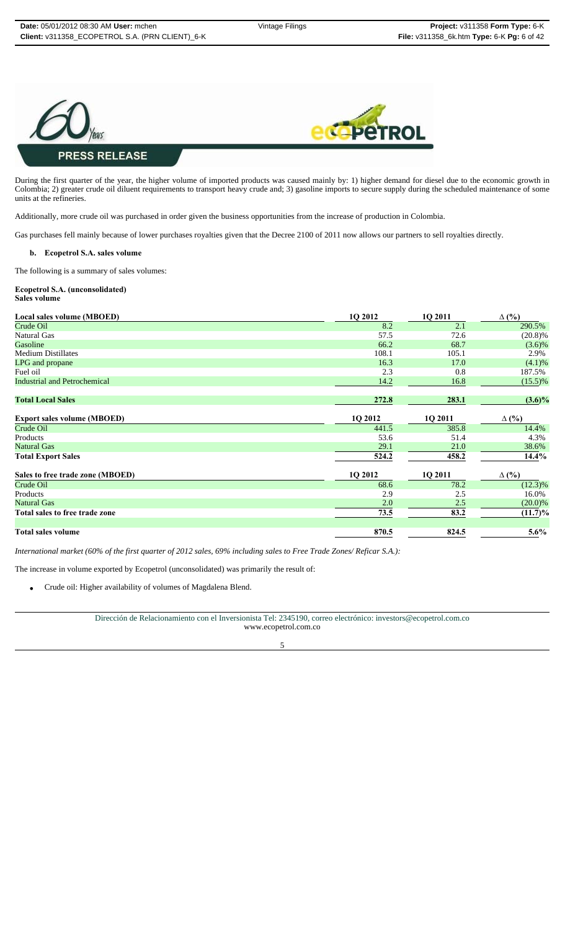



During the first quarter of the year, the higher volume of imported products was caused mainly by: 1) higher demand for diesel due to the economic growth in Colombia; 2) greater crude oil diluent requirements to transport heavy crude and; 3) gasoline imports to secure supply during the scheduled maintenance of some units at the refineries.

Additionally, more crude oil was purchased in order given the business opportunities from the increase of production in Colombia.

Gas purchases fell mainly because of lower purchases royalties given that the Decree 2100 of 2011 now allows our partners to sell royalties directly.

#### **b. Ecopetrol S.A. sales volume**

The following is a summary of sales volumes:

#### **Ecopetrol S.A. (unconsolidated) Sales volume**

| Local sales volume (MBOED)          | 1Q 2012 | 1Q 2011 | $\Delta$ (%) |
|-------------------------------------|---------|---------|--------------|
| Crude Oil                           | 8.2     | 2.1     | 290.5%       |
| <b>Natural Gas</b>                  | 57.5    | 72.6    | $(20.8)\%$   |
| Gasoline                            | 66.2    | 68.7    | $(3.6)\%$    |
| <b>Medium Distillates</b>           | 108.1   | 105.1   | 2.9%         |
| LPG and propane                     | 16.3    | 17.0    | (4.1)%       |
| Fuel oil                            | 2.3     | 0.8     | 187.5%       |
| <b>Industrial and Petrochemical</b> | 14.2    | 16.8    | $(15.5)\%$   |
| <b>Total Local Sales</b>            | 272.8   | 283.1   | $(3.6)\%$    |
| <b>Export sales volume (MBOED)</b>  | 1Q 2012 | 1Q 2011 | $\Delta$ (%) |
| Crude Oil                           | 441.5   | 385.8   | 14.4%        |
| Products                            | 53.6    | 51.4    | 4.3%         |
| <b>Natural Gas</b>                  | 29.1    | 21.0    | 38.6%        |
| <b>Total Export Sales</b>           | 524.2   | 458.2   | 14.4%        |
| Sales to free trade zone (MBOED)    | 1Q 2012 | 1Q 2011 | $\Delta$ (%) |
| Crude Oil                           | 68.6    | 78.2    | $(12.3)\%$   |
| Products                            | 2.9     | 2.5     | 16.0%        |
| <b>Natural Gas</b>                  | 2.0     | 2.5     | $(20.0)\%$   |
| Total sales to free trade zone      | 73.5    | 83.2    | $(11.7)\%$   |
| <b>Total sales volume</b>           | 870.5   | 824.5   | $5.6\%$      |

*International market (60% of the first quarter of 2012 sales, 69% including sales to Free Trade Zones/ Reficar S.A.):*

The increase in volume exported by Ecopetrol (unconsolidated) was primarily the result of:

• Crude oil: Higher availability of volumes of Magdalena Blend.

Dirección de Relacionamiento con el Inversionista Tel: 2345190, correo electrónico: investors@ecopetrol.com.co www.ecopetrol.com.co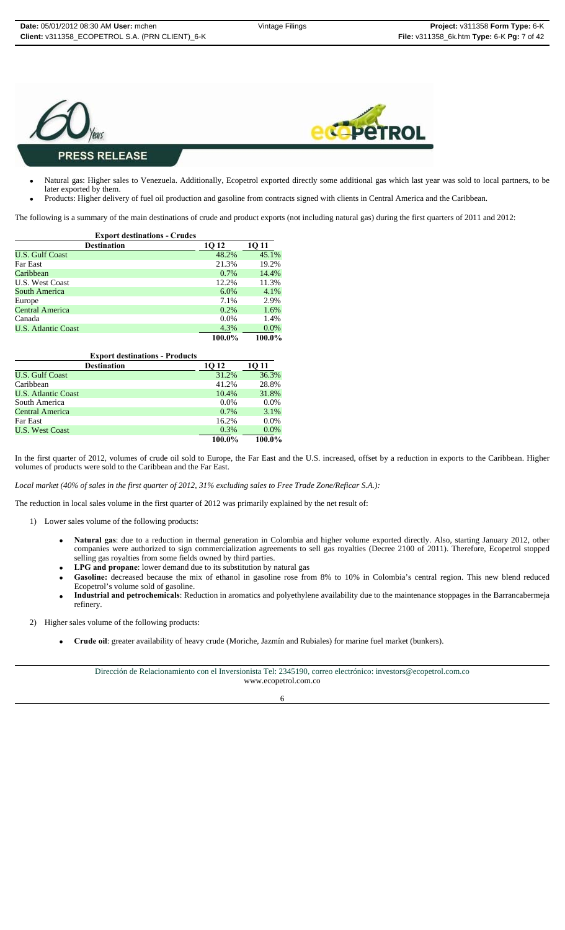



- Natural gas: Higher sales to Venezuela. Additionally, Ecopetrol exported directly some additional gas which last year was sold to local partners, to be later exported by them.
- Products: Higher delivery of fuel oil production and gasoline from contracts signed with clients in Central America and the Caribbean.

The following is a summary of the main destinations of crude and product exports (not including natural gas) during the first quarters of 2011 and 2012:

| <b>Export destinations - Crudes</b> |         |         |
|-------------------------------------|---------|---------|
| <b>Destination</b>                  | 1Q 12   | 10 11   |
| <b>U.S. Gulf Coast</b>              | 48.2%   | 45.1%   |
| <b>Far East</b>                     | 21.3%   | 19.2%   |
| Caribbean                           | $0.7\%$ | 14.4%   |
| <b>U.S. West Coast</b>              | 12.2%   | 11.3%   |
| South America                       | $6.0\%$ | 4.1%    |
| Europe                              | 7.1%    | 2.9%    |
| Central America                     | 0.2%    | 1.6%    |
| Canada                              | $0.0\%$ | 1.4%    |
| <b>U.S. Atlantic Coast</b>          | 4.3%    | $0.0\%$ |
|                                     | 100.0%  | 100.0%  |

| <b>Export destinations - Products</b> |         |         |  |
|---------------------------------------|---------|---------|--|
| <b>Destination</b>                    | 10 12   | 10 11   |  |
| <b>U.S. Gulf Coast</b>                | 31.2%   | 36.3%   |  |
| Caribbean                             | 41.2%   | 28.8%   |  |
| <b>U.S. Atlantic Coast</b>            | 10.4%   | 31.8%   |  |
| South America                         | $0.0\%$ | $0.0\%$ |  |
| Central America                       | $0.7\%$ | 3.1%    |  |
| Far East                              | 16.2%   | $0.0\%$ |  |
| <b>U.S. West Coast</b>                | 0.3%    | $0.0\%$ |  |
|                                       | 100.0%  | 100.0%  |  |

In the first quarter of 2012, volumes of crude oil sold to Europe, the Far East and the U.S. increased, offset by a reduction in exports to the Caribbean. Higher volumes of products were sold to the Caribbean and the Far East.

*Local market (40% of sales in the first quarter of 2012, 31% excluding sales to Free Trade Zone/Reficar S.A.):*

The reduction in local sales volume in the first quarter of 2012 was primarily explained by the net result of:

- 1) Lower sales volume of the following products:
	- **Natural gas**: due to a reduction in thermal generation in Colombia and higher volume exported directly. Also, starting January 2012, other companies were authorized to sign commercialization agreements to sell gas royalties (Decree 2100 of 2011). Therefore, Ecopetrol stopped selling gas royalties from some fields owned by third parties.
	- **LPG and propane**: lower demand due to its substitution by natural gas
	- Gasoline: decreased because the mix of ethanol in gasoline rose from 8% to 10% in Colombia's central region. This new blend reduced Ecopetrol's volume sold of gasoline.
	- **Industrial and petrochemicals**: Reduction in aromatics and polyethylene availability due to the maintenance stoppages in the Barrancabermeja refinery.
- 2) Higher sales volume of the following products:
	- **Crude oil**: greater availability of heavy crude (Moriche, Jazmín and Rubiales) for marine fuel market (bunkers).

Dirección de Relacionamiento con el Inversionista Tel: 2345190, correo electrónico: investors@ecopetrol.com.co www.ecopetrol.com.co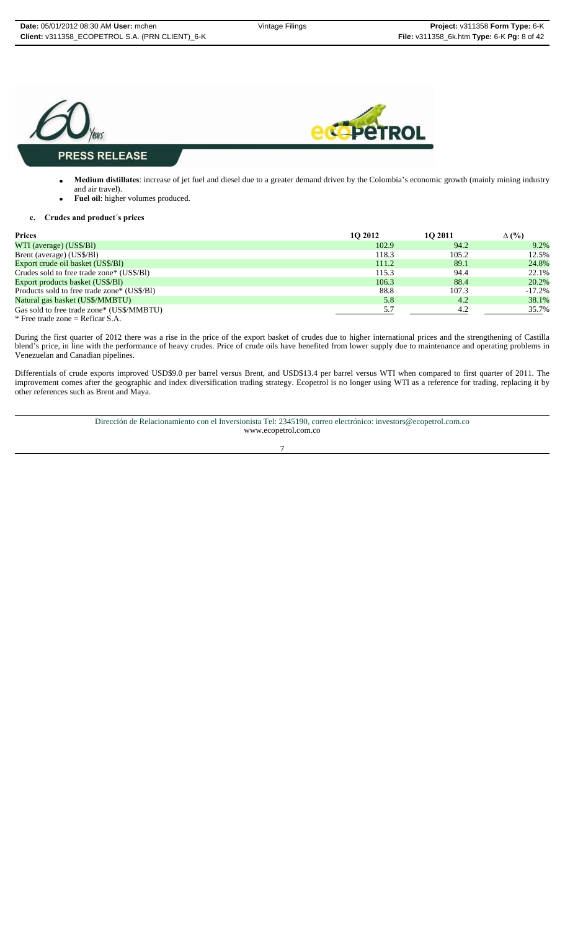

- **Medium distillates**: increase of jet fuel and diesel due to a greater demand driven by the Colombia's economic growth (mainly mining industry and air travel).
- **Fuel oil**: higher volumes produced.

#### **c. Crudes and product´s prices**

| <b>Prices</b>                               | 10 2012 | 10 2011 | $\Delta$ (%) |
|---------------------------------------------|---------|---------|--------------|
| WTI (average) (US\$/BI)                     | 102.9   | 94.2    | 9.2%         |
| Brent (average) (US\$/BI)                   | 118.3   | 105.2   | 12.5%        |
| Export crude oil basket (US\$/BI)           | 111.2   | 89.1    | 24.8%        |
| Crudes sold to free trade zone* (US\$/B1)   | 115.3   | 94.4    | 22.1%        |
| Export products basket (US\$/BI)            | 106.3   | 88.4    | 20.2%        |
| Products sold to free trade zone* (US\$/B1) | 88.8    | 107.3   | $-17.2%$     |
| Natural gas basket (US\$/MMBTU)             | 5.8     | 4.2     | 38.1%        |
| Gas sold to free trade zone* (US\$/MMBTU)   | 5.7     | 4.2     | 35.7%        |
| * Free trade zone = Reficar S.A.            |         |         |              |

During the first quarter of 2012 there was a rise in the price of the export basket of crudes due to higher international prices and the strengthening of Castilla blend's price, in line with the performance of heavy crudes. Price of crude oils have benefited from lower supply due to maintenance and operating problems in Venezuelan and Canadian pipelines.

Differentials of crude exports improved USD\$9.0 per barrel versus Brent, and USD\$13.4 per barrel versus WTI when compared to first quarter of 2011. The improvement comes after the geographic and index diversification trading strategy. Ecopetrol is no longer using WTI as a reference for trading, replacing it by other references such as Brent and Maya.

> Dirección de Relacionamiento con el Inversionista Tel: 2345190, correo electrónico: investors@ecopetrol.com.co www.ecopetrol.com.co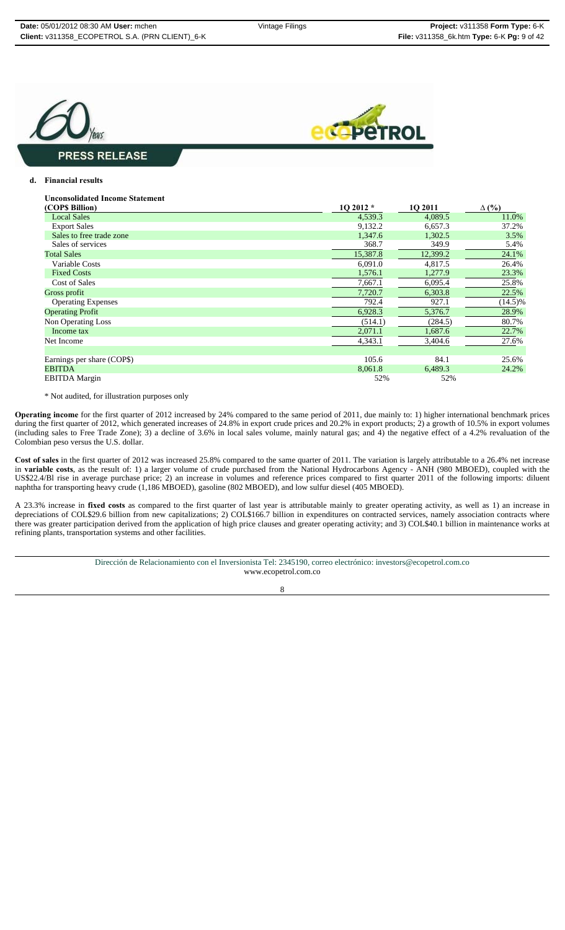



#### **d. Financial results**

| <b>Unconsolidated Income Statement</b> |  |
|----------------------------------------|--|
|----------------------------------------|--|

| (COP\$ Billion)            | 1Q 2012 * | 1Q 2011  | $\Delta$ (%) |
|----------------------------|-----------|----------|--------------|
| <b>Local Sales</b>         | 4,539.3   | 4,089.5  | 11.0%        |
| <b>Export Sales</b>        | 9,132.2   | 6.657.3  | 37.2%        |
| Sales to free trade zone   | 1,347.6   | 1,302.5  | 3.5%         |
| Sales of services          | 368.7     | 349.9    | 5.4%         |
| <b>Total Sales</b>         | 15,387.8  | 12,399.2 | 24.1%        |
| Variable Costs             | 6,091.0   | 4,817.5  | 26.4%        |
| <b>Fixed Costs</b>         | 1,576.1   | 1,277.9  | 23.3%        |
| <b>Cost of Sales</b>       | 7,667.1   | 6,095.4  | 25.8%        |
| Gross profit               | 7,720.7   | 6,303.8  | 22.5%        |
| <b>Operating Expenses</b>  | 792.4     | 927.1    | $(14.5)\%$   |
| <b>Operating Profit</b>    | 6,928.3   | 5,376.7  | 28.9%        |
| Non Operating Loss         | (514.1)   | (284.5)  | 80.7%        |
| Income tax                 | 2,071.1   | 1,687.6  | 22.7%        |
| Net Income                 | 4,343.1   | 3,404.6  | 27.6%        |
|                            |           |          |              |
| Earnings per share (COP\$) | 105.6     | 84.1     | 25.6%        |
| <b>EBITDA</b>              | 8,061.8   | 6,489.3  | 24.2%        |
| <b>EBITDA</b> Margin       | 52%       | 52%      |              |
|                            |           |          |              |

\* Not audited, for illustration purposes only

**Operating income** for the first quarter of 2012 increased by 24% compared to the same period of 2011, due mainly to: 1) higher international benchmark prices during the first quarter of 2012, which generated increases of 24.8% in export crude prices and 20.2% in export products; 2) a growth of 10.5% in export volumes (including sales to Free Trade Zone); 3) a decline of 3.6% in local sales volume, mainly natural gas; and 4) the negative effect of a 4.2% revaluation of the Colombian peso versus the U.S. dollar.

**Cost of sales** in the first quarter of 2012 was increased 25.8% compared to the same quarter of 2011. The variation is largely attributable to a 26.4% net increase in **variable costs**, as the result of: 1) a larger volume of crude purchased from the National Hydrocarbons Agency - ANH (980 MBOED), coupled with the US\$22.4/Bl rise in average purchase price; 2) an increase in volumes and reference prices compared to first quarter 2011 of the following imports: diluent naphtha for transporting heavy crude (1,186 MBOED), gasoline (802 MBOED), and low sulfur diesel (405 MBOED).

A 23.3% increase in **fixed costs** as compared to the first quarter of last year is attributable mainly to greater operating activity, as well as 1) an increase in depreciations of COL\$29.6 billion from new capitalizations; 2) COL\$166.7 billion in expenditures on contracted services, namely association contracts where there was greater participation derived from the application of high price clauses and greater operating activity; and 3) COL\$40.1 billion in maintenance works at refining plants, transportation systems and other facilities.

> Dirección de Relacionamiento con el Inversionista Tel: 2345190, correo electrónico: investors@ecopetrol.com.co www.ecopetrol.com.co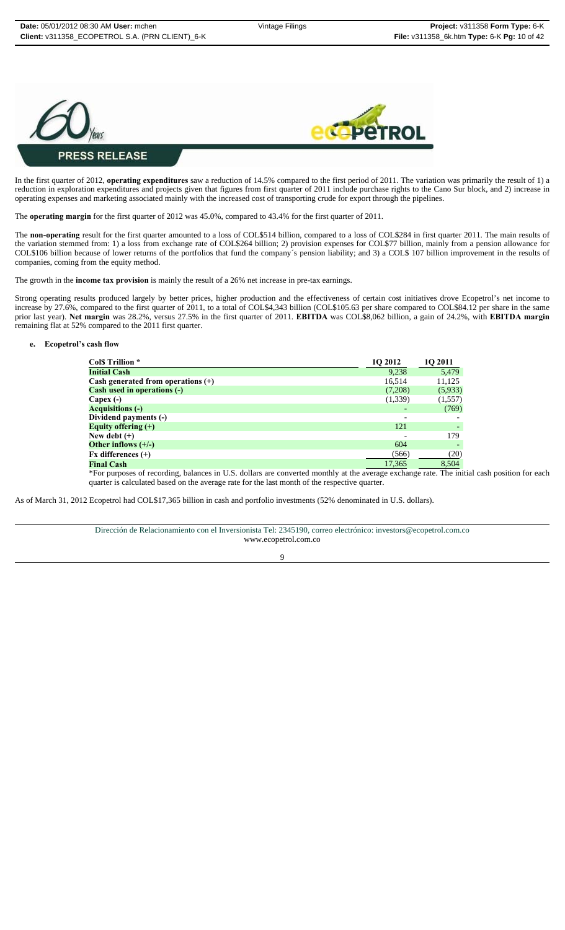



#### In the first quarter of 2012, **operating expenditures** saw a reduction of 14.5% compared to the first period of 2011. The variation was primarily the result of 1) a reduction in exploration expenditures and projects given that figures from first quarter of 2011 include purchase rights to the Cano Sur block, and 2) increase in operating expenses and marketing associated mainly with the increased cost of transporting crude for export through the pipelines.

The **operating margin** for the first quarter of 2012 was 45.0%, compared to 43.4% for the first quarter of 2011.

The **non-operating** result for the first quarter amounted to a loss of COL\$514 billion, compared to a loss of COL\$284 in first quarter 2011. The main results of the variation stemmed from: 1) a loss from exchange rate of COL\$264 billion; 2) provision expenses for COL\$77 billion, mainly from a pension allowance for COL\$106 billion because of lower returns of the portfolios that fund the company´s pension liability; and 3) a COL\$ 107 billion improvement in the results of companies, coming from the equity method.

The growth in the **income tax provision** is mainly the result of a 26% net increase in pre-tax earnings.

Strong operating results produced largely by better prices, higher production and the effectiveness of certain cost initiatives drove Ecopetrol's net income to increase by 27.6%, compared to the first quarter of 2011, to a total of COL\$4,343 billion (COL\$105.63 per share compared to COL\$84.12 per share in the same prior last year). **Net margin** was 28.2%, versus 27.5% in the first quarter of 2011. **EBITDA** was COL\$8,062 billion, a gain of 24.2%, with **EBITDA margin** remaining flat at 52% compared to the 2011 first quarter.

#### **e. Ecopetrol's cash flow**

| Col\$ Trillion *                     | 1O 2012 | 1Q 2011 |
|--------------------------------------|---------|---------|
| <b>Initial Cash</b>                  | 9,238   | 5,479   |
| Cash generated from operations $(+)$ | 16.514  | 11,125  |
| <b>Cash used in operations (-)</b>   | (7,208) | (5,933) |
| Capex (-)                            | (1,339) | (1,557) |
| <b>Acquisitions (-)</b>              |         | (769)   |
| Dividend payments (-)                |         |         |
| Equity offering $(+)$                | 121     |         |
| New debt (+)                         |         | 179     |
| Other inflows $(+/-)$                | 604     |         |
| Fx differences (+)                   | (566)   | (20)    |
| <b>Final Cash</b>                    | 17,365  | 8,504   |
|                                      |         |         |

\*For purposes of recording, balances in U.S. dollars are converted monthly at the average exchange rate. The initial cash position for each quarter is calculated based on the average rate for the last month of the respective quarter.

As of March 31, 2012 Ecopetrol had COL\$17,365 billion in cash and portfolio investments (52% denominated in U.S. dollars).

Dirección de Relacionamiento con el Inversionista Tel: 2345190, correo electrónico: investors@ecopetrol.com.co www.ecopetrol.com.co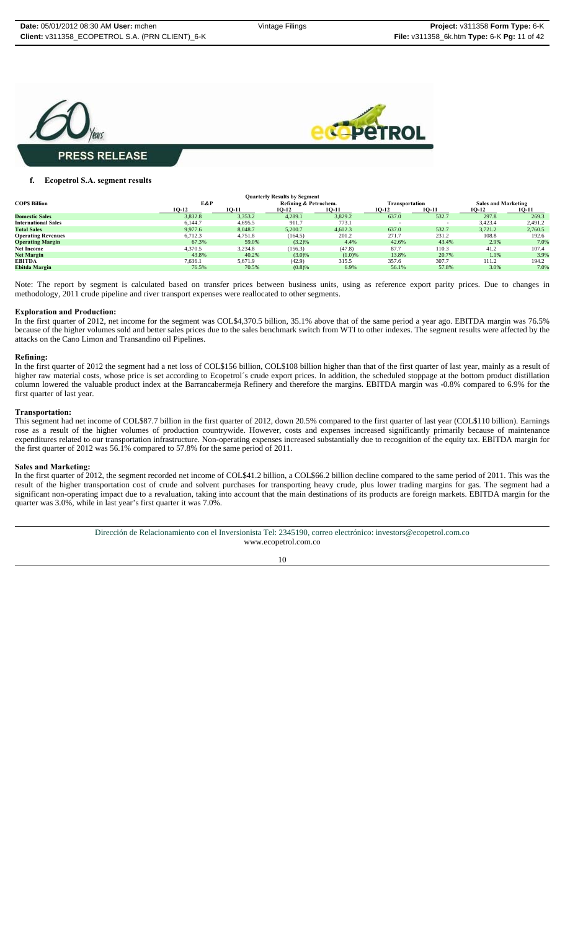



#### **f. Ecopetrol S.A. segment results**

| <b>Quarterly Results by Segment</b> |         |         |                       |         |                |            |                            |         |
|-------------------------------------|---------|---------|-----------------------|---------|----------------|------------|----------------------------|---------|
| <b>COPS Billion</b>                 | E&P     |         | Refining & Petrochem. |         | Transportation |            | <b>Sales and Marketing</b> |         |
|                                     | 10-12   | 10-11   | 10-12                 | 10-11   | 10-12          | 10-11      | 10-12                      | 10-11   |
| <b>Domestic Sales</b>               | 3,832.8 | 3,353.2 | 4,289.1               | 3,829.2 | 637.0          | 532.7      | 297.8                      | 269.3   |
| <b>International Sales</b>          | 6,144.7 | 4,695.5 | 911.7                 | 773.1   |                | <b>COL</b> | 3,423.4                    | 2,491.2 |
| <b>Total Sales</b>                  | 9,977.6 | 8,048.7 | 5,200.7               | 4,602.3 | 637.0          | 532.7      | 3.721.2                    | 2,760.5 |
| <b>Operating Revenues</b>           | 6,712.3 | 4,751.8 | (164.5)               | 201.2   | 271.7          | 231.2      | 108.8                      | 192.6   |
| <b>Operating Margin</b>             | 67.3%   | 59.0%   | (3.2)%                | 4.4%    | 42.6%          | 43.4%      | 2.9%                       | 7.0%    |
| <b>Net Income</b>                   | 4.370.5 | 3.234.8 | (156.3)               | (47.8)  | 87.7           | 110.3      | 41.2                       | 107.4   |
| <b>Net Margin</b>                   | 43.8%   | 40.2%   | (3.0)%                | (1.0)%  | 13.8%          | 20.7%      | 1.1%                       | 3.9%    |
| <b>EBITDA</b>                       | 7,636.1 | 5.671.9 | (42.9)                | 315.5   | 357.6          | 307.7      | 111.2                      | 194.2   |
| Ebitda Margin                       | 76.5%   | 70.5%   | $(0.8)$ %             | 6.9%    | 56.1%          | 57.8%      | 3.0%                       | 7.0%    |

Note: The report by segment is calculated based on transfer prices between business units, using as reference export parity prices. Due to changes in methodology, 2011 crude pipeline and river transport expenses were reallocated to other segments.

#### **Exploration and Production:**

In the first quarter of 2012, net income for the segment was COL\$4,370.5 billion, 35.1% above that of the same period a year ago. EBITDA margin was 76.5% because of the higher volumes sold and better sales prices due to the sales benchmark switch from WTI to other indexes. The segment results were affected by the attacks on the Cano Limon and Transandino oil Pipelines.

#### **Refining:**

In the first quarter of 2012 the segment had a net loss of COL\$156 billion, COL\$108 billion higher than that of the first quarter of last year, mainly as a result of higher raw material costs, whose price is set according to Ecopetrol's crude export prices. In addition, the scheduled stoppage at the bottom product distillation column lowered the valuable product index at the Barrancabermeja Refinery and therefore the margins. EBITDA margin was -0.8% compared to 6.9% for the first quarter of last year.

#### **Transportation:**

This segment had net income of COL\$87.7 billion in the first quarter of 2012, down 20.5% compared to the first quarter of last year (COL\$110 billion). Earnings rose as a result of the higher volumes of production countrywide. However, costs and expenses increased significantly primarily because of maintenance expenditures related to our transportation infrastructure. Non-operating expenses increased substantially due to recognition of the equity tax. EBITDA margin for the first quarter of 2012 was 56.1% compared to 57.8% for the same period of 2011.

#### **Sales and Marketing:**

In the first quarter of 2012, the segment recorded net income of COL\$41.2 billion, a COL\$66.2 billion decline compared to the same period of 2011. This was the result of the higher transportation cost of crude and solvent purchases for transporting heavy crude, plus lower trading margins for gas. The segment had a significant non-operating impact due to a revaluation, taking into account that the main destinations of its products are foreign markets. EBITDA margin for the quarter was 3.0%, while in last year's first quarter it was 7.0%.

> Dirección de Relacionamiento con el Inversionista Tel: 2345190, correo electrónico: investors@ecopetrol.com.co www.ecopetrol.com.co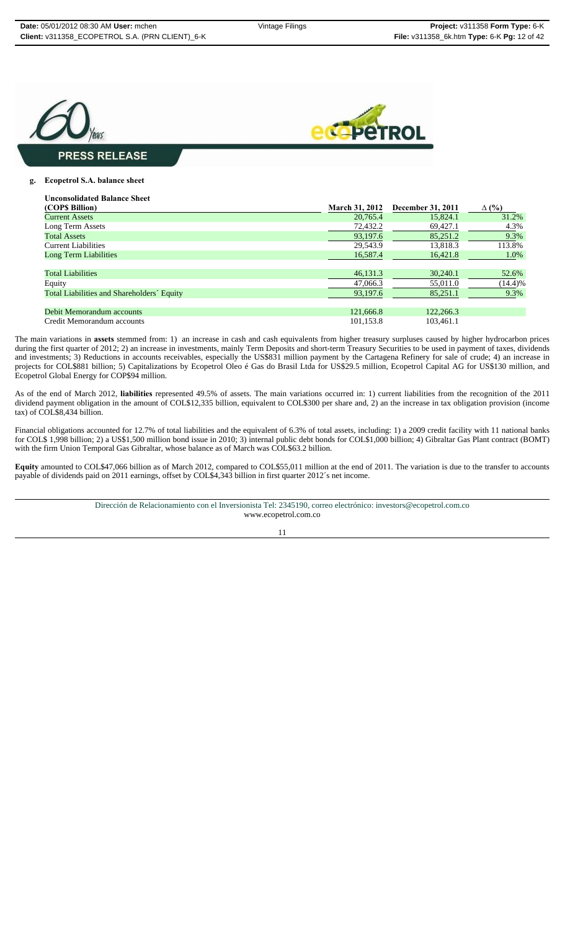



#### **g. Ecopetrol S.A. balance sheet**

| <b>Unconsolidated Balance Sheet</b>        |                       |                   |              |
|--------------------------------------------|-----------------------|-------------------|--------------|
| (COP\$ Billion)                            | <b>March 31, 2012</b> | December 31, 2011 | $\Delta$ (%) |
| <b>Current Assets</b>                      | 20.765.4              | 15,824.1          | 31.2%        |
| Long Term Assets                           | 72,432.2              | 69,427.1          | 4.3%         |
| <b>Total Assets</b>                        | 93,197.6              | 85,251.2          | 9.3%         |
| Current Liabilities                        | 29.543.9              | 13.818.3          | 113.8%       |
| Long Term Liabilities                      | 16,587.4              | 16.421.8          | 1.0%         |
|                                            |                       |                   |              |
| <b>Total Liabilities</b>                   | 46,131.3              | 30,240.1          | 52.6%        |
| Equity                                     | 47,066.3              | 55,011.0          | (14.4)%      |
| Total Liabilities and Shareholders' Equity | 93,197.6              | 85,251.1          | 9.3%         |
|                                            |                       |                   |              |
| Debit Memorandum accounts                  | 121,666.8             | 122,266.3         |              |
| Credit Memorandum accounts                 | 101.153.8             | 103.461.1         |              |

The main variations in **assets** stemmed from: 1) an increase in cash and cash equivalents from higher treasury surpluses caused by higher hydrocarbon prices during the first quarter of 2012; 2) an increase in investments, mainly Term Deposits and short-term Treasury Securities to be used in payment of taxes, dividends and investments; 3) Reductions in accounts receivables, especially the US\$831 million payment by the Cartagena Refinery for sale of crude; 4) an increase in projects for COL\$881 billion; 5) Capitalizations by Ecopetrol Oleo é Gas do Brasil Ltda for US\$29.5 million, Ecopetrol Capital AG for US\$130 million, and Ecopetrol Global Energy for COP\$94 million.

As of the end of March 2012, **liabilities** represented 49.5% of assets. The main variations occurred in: 1) current liabilities from the recognition of the 2011 dividend payment obligation in the amount of COL\$12,335 billion, equivalent to COL\$300 per share and, 2) an the increase in tax obligation provision (income tax) of COL\$8,434 billion.

Financial obligations accounted for 12.7% of total liabilities and the equivalent of 6.3% of total assets, including: 1) a 2009 credit facility with 11 national banks for COL\$ 1,998 billion; 2) a US\$1,500 million bond issue in 2010; 3) internal public debt bonds for COL\$1,000 billion; 4) Gibraltar Gas Plant contract (BOMT) with the firm Union Temporal Gas Gibraltar, whose balance as of March was COL\$63.2 billion.

**Equity** amounted to COL\$47,066 billion as of March 2012, compared to COL\$55,011 million at the end of 2011. The variation is due to the transfer to accounts payable of dividends paid on 2011 earnings, offset by COL\$4,343 billion in first quarter 2012´s net income.

> Dirección de Relacionamiento con el Inversionista Tel: 2345190, correo electrónico: investors@ecopetrol.com.co www.ecopetrol.com.co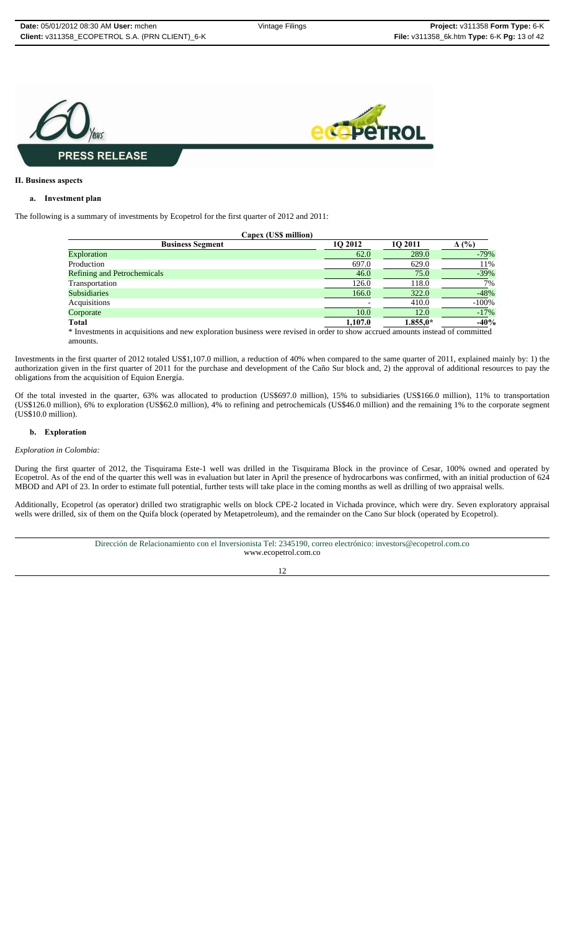

#### **II. Business aspects**

#### **a. Investment plan**

The following is a summary of investments by Ecopetrol for the first quarter of 2012 and 2011:

| Capex (US\$ million)               |         |            |          |
|------------------------------------|---------|------------|----------|
| <b>Business Segment</b>            | 10 2012 | 10 2011    | (%)<br>Δ |
| Exploration                        | 62.0    | 289.0      | $-79%$   |
| Production                         | 697.0   | 629.0      | 11%      |
| <b>Refining and Petrochemicals</b> | 46.0    | 75.0       | $-39%$   |
| Transportation                     | 126.0   | 118.0      | 7%       |
| <b>Subsidiaries</b>                | 166.0   | 322.0      | $-48%$   |
| Acquisitions                       |         | 410.0      | $-100%$  |
| Corporate                          | 10.0    | 12.0       | $-17%$   |
| <b>Total</b>                       | 1,107.0 | $1.855.0*$ | $-40%$   |
|                                    |         |            |          |

\* Investments in acquisitions and new exploration business were revised in order to show accrued amounts instead of committed amounts.

Investments in the first quarter of 2012 totaled US\$1,107.0 million, a reduction of 40% when compared to the same quarter of 2011, explained mainly by: 1) the authorization given in the first quarter of 2011 for the purchase and development of the Caño Sur block and, 2) the approval of additional resources to pay the obligations from the acquisition of Equion Energía.

Of the total invested in the quarter, 63% was allocated to production (US\$697.0 million), 15% to subsidiaries (US\$166.0 million), 11% to transportation (US\$126.0 million), 6% to exploration (US\$62.0 million), 4% to refining and petrochemicals (US\$46.0 million) and the remaining 1% to the corporate segment (US\$10.0 million).

#### **b. Exploration**

#### *Exploration in Colombia:*

During the first quarter of 2012, the Tisquirama Este-1 well was drilled in the Tisquirama Block in the province of Cesar, 100% owned and operated by Ecopetrol. As of the end of the quarter this well was in evaluation but later in April the presence of hydrocarbons was confirmed, with an initial production of 624 MBOD and API of 23. In order to estimate full potential, further tests will take place in the coming months as well as drilling of two appraisal wells.

Additionally, Ecopetrol (as operator) drilled two stratigraphic wells on block CPE-2 located in Vichada province, which were dry. Seven exploratory appraisal wells were drilled, six of them on the Quifa block (operated by Metapetroleum), and the remainder on the Cano Sur block (operated by Ecopetrol).

| Dirección de Relacionamiento con el Inversionista Tel: 2345190, correo electrónico: investors@ecopetrol.com.co |
|----------------------------------------------------------------------------------------------------------------|
| www.ecopetrol.com.co                                                                                           |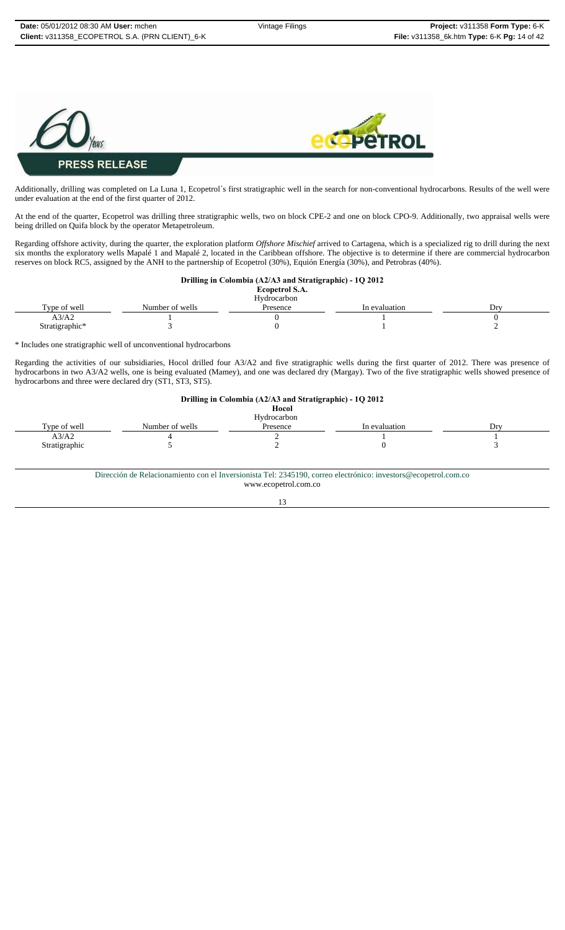

Additionally, drilling was completed on La Luna 1, Ecopetrol´s first stratigraphic well in the search for non-conventional hydrocarbons. Results of the well were under evaluation at the end of the first quarter of 2012.

At the end of the quarter, Ecopetrol was drilling three stratigraphic wells, two on block CPE-2 and one on block CPO-9. Additionally, two appraisal wells were being drilled on Quifa block by the operator Metapetroleum.

Regarding offshore activity, during the quarter, the exploration platform *Offshore Mischief* arrived to Cartagena, which is a specialized rig to drill during the next six months the exploratory wells Mapalé 1 and Mapalé 2, located in the Caribbean offshore. The objective is to determine if there are commercial hydrocarbon reserves on block RC5, assigned by the ANH to the partnership of Ecopetrol (30%), Equión Energía (30%), and Petrobras (40%).

#### **Drilling in Colombia (A2/A3 and Stratigraphic) - 1Q 2012**

| <b>Ecopetrol S.A.</b> |  |
|-----------------------|--|
|-----------------------|--|

|                |                 | Hydrocarbon |               |               |
|----------------|-----------------|-------------|---------------|---------------|
| Type of well   | Number of wells | Presence    | In evaluation | $_{\rm{Drv}}$ |
| A3/A2          |                 |             |               |               |
| Stratigraphic* |                 |             |               |               |

\* Includes one stratigraphic well of unconventional hydrocarbons

Regarding the activities of our subsidiaries, Hocol drilled four A3/A2 and five stratigraphic wells during the first quarter of 2012. There was presence of hydrocarbons in two A3/A2 wells, one is being evaluated (Mamey), and one was declared dry (Margay). Two of the five stratigraphic wells showed presence of hydrocarbons and three were declared dry (ST1, ST3, ST5).

| Hydrocarbon |               |     |
|-------------|---------------|-----|
| Presence    | In evaluation | Drv |
|             |               |     |
|             |               |     |
|             |               |     |

Dirección de Relacionamiento con el Inversionista Tel: 2345190, correo electrónico: investors@ecopetrol.com.co

www.ecopetrol.com.co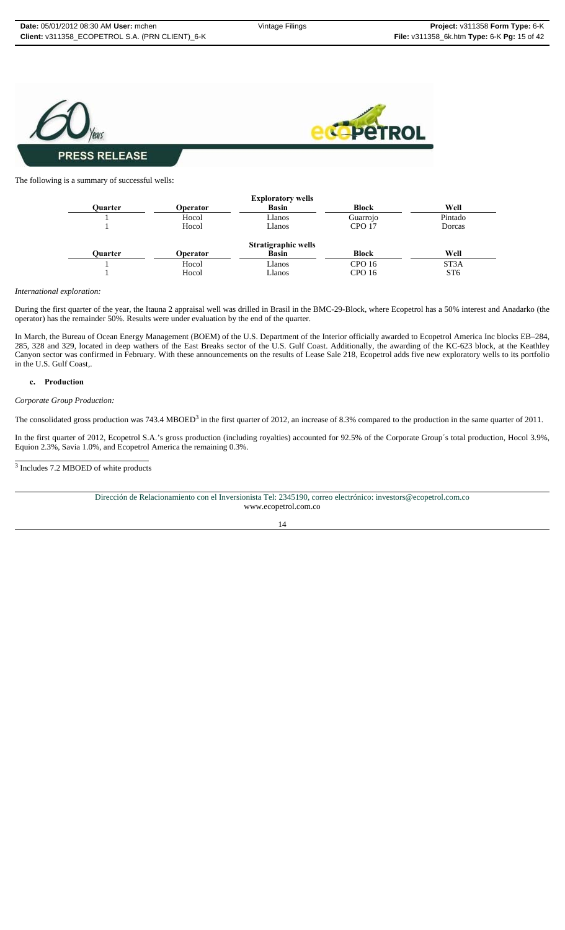

The following is a summary of successful wells:



*International exploration:* 

During the first quarter of the year, the Itauna 2 appraisal well was drilled in Brasil in the BMC-29-Block, where Ecopetrol has a 50% interest and Anadarko (the operator) has the remainder 50%. Results were under evaluation by the end of the quarter.

In March, the Bureau of Ocean Energy Management (BOEM) of the U.S. Department of the Interior officially awarded to Ecopetrol America Inc blocks EB–284, 285, 328 and 329, located in deep wathers of the East Breaks sector of the U.S. Gulf Coast. Additionally, the awarding of the KC-623 block, at the Keathley Canyon sector was confirmed in February. With these announcements on the results of Lease Sale 218, Ecopetrol adds five new exploratory wells to its portfolio in the U.S. Gulf Coast,.

#### **c. Production**

*Corporate Group Production:*

The consolidated gross production was 743.4 MBOED<sup>3</sup> in the first quarter of 2012, an increase of 8.3% compared to the production in the same quarter of 2011.

In the first quarter of 2012, Ecopetrol S.A.'s gross production (including royalties) accounted for 92.5% of the Corporate Group´s total production, Hocol 3.9%, Equion 2.3%, Savia 1.0%, and Ecopetrol America the remaining 0.3%.

3 Includes 7.2 MBOED of white products

| Dirección de Relacionamiento con el Inversionista Tel: 2345190, correo electrónico: investors@ecopetrol.com.co |
|----------------------------------------------------------------------------------------------------------------|
| www.ecopetrol.com.co                                                                                           |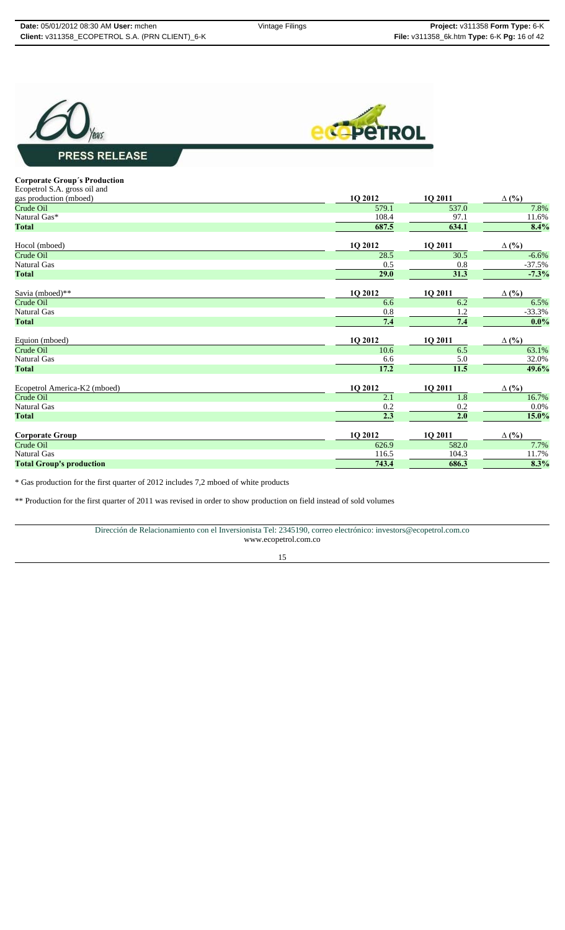



# **Corporate Group´s Production**

| Corporate Group's Frounction    |         |         |              |
|---------------------------------|---------|---------|--------------|
| Ecopetrol S.A. gross oil and    |         |         |              |
| gas production (mboed)          | 1Q 2012 | 1Q 2011 | $\Delta$ (%) |
| Crude Oil                       | 579.1   | 537.0   | 7.8%         |
| Natural Gas*                    | 108.4   | 97.1    | 11.6%        |
| <b>Total</b>                    | 687.5   | 634.1   | 8.4%         |
| Hocol (mboed)                   | 1Q 2012 | 1Q 2011 | $\Delta$ (%) |
| Crude Oil                       | 28.5    | 30.5    | $-6.6%$      |
| <b>Natural Gas</b>              | 0.5     | 0.8     | $-37.5%$     |
| <b>Total</b>                    | 29.0    | 31.3    | $-7.3%$      |
| Savia (mboed)**                 | 1Q 2012 | 1Q 2011 | $\Delta$ (%) |
| Crude Oil                       | 6.6     | 6.2     | 6.5%         |
| <b>Natural Gas</b>              | $0.8\,$ | 1.2     | $-33.3%$     |
| <b>Total</b>                    | 7.4     | 7.4     | 0.0%         |
| Equion (mboed)                  | 1Q 2012 | 1Q 2011 | $\Delta$ (%) |
| Crude Oil                       | 10.6    | 6.5     | 63.1%        |
| <b>Natural Gas</b>              | 6.6     | 5.0     | 32.0%        |
| <b>Total</b>                    | 17.2    | 11.5    | 49.6%        |
| Ecopetrol America-K2 (mboed)    | 1Q 2012 | 1Q 2011 | $\Delta$ (%) |
| Crude Oil                       | 2.1     | 1.8     | 16.7%        |
| <b>Natural Gas</b>              | 0.2     | 0.2     | 0.0%         |
| <b>Total</b>                    | 2.3     | 2.0     | 15.0%        |
| <b>Corporate Group</b>          | 1Q 2012 | 1Q 2011 | $\Delta$ (%) |
| Crude Oil                       | 626.9   | 582.0   | 7.7%         |
| <b>Natural Gas</b>              | 116.5   | 104.3   | 11.7%        |
| <b>Total Group's production</b> | 743.4   | 686.3   | 8.3%         |
|                                 |         |         |              |

\* Gas production for the first quarter of 2012 includes 7,2 mboed of white products

\*\* Production for the first quarter of 2011 was revised in order to show production on field instead of sold volumes

Dirección de Relacionamiento con el Inversionista Tel: 2345190, correo electrónico: investors@ecopetrol.com.co www.ecopetrol.com.co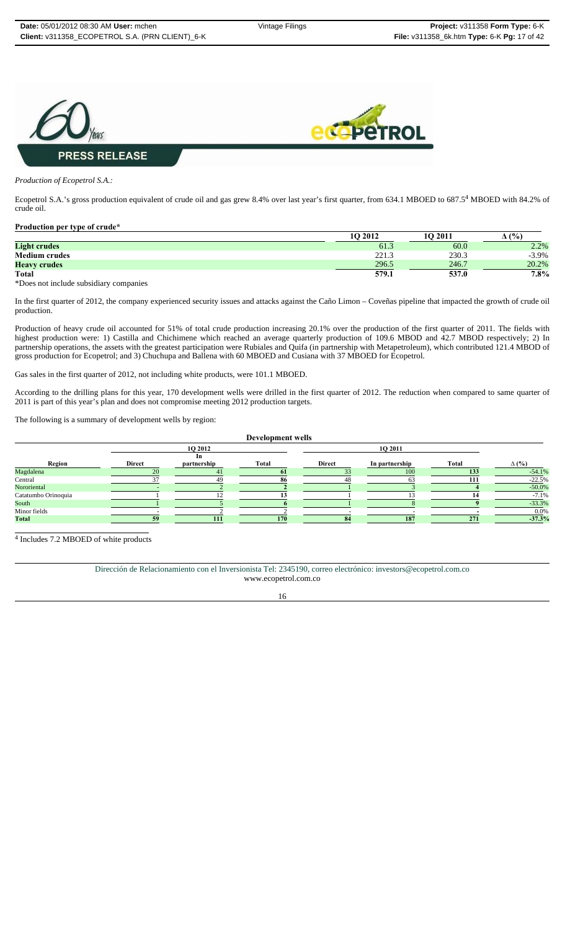

#### *Production of Ecopetrol S.A.:*

Ecopetrol S.A.'s gross production equivalent of crude oil and gas grew 8.4% over last year's first quarter, from 634.1 MBOED to 687.5<sup>4</sup> MBOED with 84.2% of crude oil.

#### **Production per type of crude\***

|                                        | 10 2012 | <b>1O 2011</b> | $($ %)   |
|----------------------------------------|---------|----------------|----------|
| <b>Light crudes</b>                    | 61.3    | 60.0           | 2.2%     |
| <b>Medium crudes</b>                   | 221.3   | 230.3          | $-3.9\%$ |
| <b>Heavy crudes</b>                    | 296.5   | 246.7          | 20.2%    |
| <b>Total</b>                           | 579.1   | 537.0          | 7.8%     |
| *Does not include subsidiary companies |         |                |          |

In the first quarter of 2012, the company experienced security issues and attacks against the Caño Limon – Coveñas pipeline that impacted the growth of crude oil production.

Production of heavy crude oil accounted for 51% of total crude production increasing 20.1% over the production of the first quarter of 2011. The fields with highest production were: 1) Castilla and Chichimene which reached an average quarterly production of 109.6 MBOD and 42.7 MBOD respectively; 2) In partnership operations, the assets with the greatest participation were Rubiales and Quifa (in partnership with Metapetroleum), which contributed 121.4 MBOD of gross production for Ecopetrol; and 3) Chuchupa and Ballena with 60 MBOED and Cusiana with 37 MBOED for Ecopetrol.

Gas sales in the first quarter of 2012, not including white products, were 101.1 MBOED.

According to the drilling plans for this year, 170 development wells were drilled in the first quarter of 2012. The reduction when compared to same quarter of 2011 is part of this year's plan and does not compromise meeting 2012 production targets.

The following is a summary of development wells by region:

|                     |               |             | Development wells |               |                |       |              |
|---------------------|---------------|-------------|-------------------|---------------|----------------|-------|--------------|
|                     |               | 1Q 2012     |                   |               | 1Q 2011        |       |              |
|                     |               | In          |                   |               |                |       |              |
| Region              | <b>Direct</b> | partnership | Total             | <b>Direct</b> | In partnership | Total | $\Delta$ (%) |
| Magdalena           |               | $\Lambda$   |                   |               | 100            | 133   | $-54.1%$     |
| Central             | 27            | 49          | 86                | 48            | 63             | 111   | $-22.5%$     |
| Nororiental         |               |             |                   |               |                |       | $-50.0\%$    |
| Catatumbo Orinoquia |               |             |                   |               |                |       | $-7.1%$      |
| South               |               |             |                   |               |                |       | $-33.3%$     |
| Minor fields        |               |             |                   |               |                |       | $0.0\%$      |
| <b>Total</b>        | 50            | 111         | 170               | 84            | 187            | 271   | $-37.3%$     |

 $\frac{4 \text{ Includes } 7.2 \text{ MBOED of white products}}{4 \text{ Includes } 7.2 \text{ MBOED of white products}}$ 

Dirección de Relacionamiento con el Inversionista Tel: 2345190, correo electrónico: investors@ecopetrol.com.co www.ecopetrol.com.co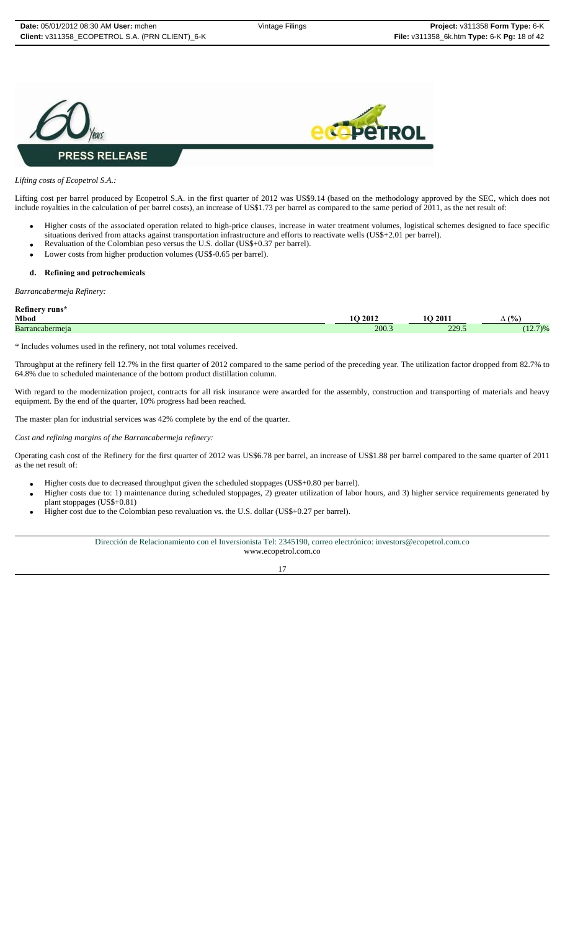



#### *Lifting costs of Ecopetrol S.A.:*

Lifting cost per barrel produced by Ecopetrol S.A. in the first quarter of 2012 was US\$9.14 (based on the methodology approved by the SEC, which does not include royalties in the calculation of per barrel costs), an increase of US\$1.73 per barrel as compared to the same period of 2011, as the net result of:

- Higher costs of the associated operation related to high-price clauses, increase in water treatment volumes, logistical schemes designed to face specific situations derived from attacks against transportation infrastructure and efforts to reactivate wells (US\$+2.01 per barrel).
- Revaluation of the Colombian peso versus the U.S. dollar (US\$+0.37 per barrel). Lower costs from higher production volumes (US\$-0.65 per barrel).

#### **d. Refining and petrochemicals**

*Barrancabermeja Refinery:*

| Refinery runs*  |       |                  |                                   |
|-----------------|-------|------------------|-----------------------------------|
| Mbod            | 2012  | 201.<br>$\Omega$ | (°/0)<br>$\overline{\phantom{0}}$ |
| Barrancabermeia | 200.3 | 229.5            | $/$ )%<br>$-$                     |

\* Includes volumes used in the refinery, not total volumes received.

Throughput at the refinery fell 12.7% in the first quarter of 2012 compared to the same period of the preceding year. The utilization factor dropped from 82.7% to 64.8% due to scheduled maintenance of the bottom product distillation column.

With regard to the modernization project, contracts for all risk insurance were awarded for the assembly, construction and transporting of materials and heavy equipment. By the end of the quarter, 10% progress had been reached.

The master plan for industrial services was 42% complete by the end of the quarter.

*Cost and refining margins of the Barrancabermeja refinery:*

Operating cash cost of the Refinery for the first quarter of 2012 was US\$6.78 per barrel, an increase of US\$1.88 per barrel compared to the same quarter of 2011 as the net result of:

- Higher costs due to decreased throughput given the scheduled stoppages (US\$+0.80 per barrel).
- Higher costs due to: 1) maintenance during scheduled stoppages, 2) greater utilization of labor hours, and 3) higher service requirements generated by plant stoppages (US\$+0.81)
- Higher cost due to the Colombian peso revaluation vs. the U.S. dollar (US\$+0.27 per barrel).

Dirección de Relacionamiento con el Inversionista Tel: 2345190, correo electrónico: investors@ecopetrol.com.co www.ecopetrol.com.co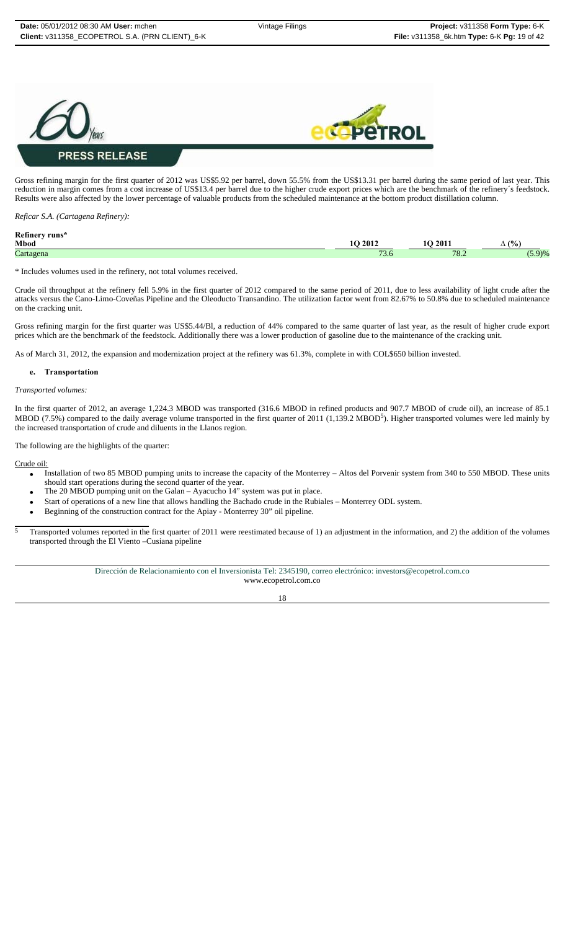

Gross refining margin for the first quarter of 2012 was US\$5.92 per barrel, down 55.5% from the US\$13.31 per barrel during the same period of last year. This reduction in margin comes from a cost increase of US\$13.4 per barrel due to the higher crude export prices which are the benchmark of the refinery´s feedstock. Results were also affected by the lower percentage of valuable products from the scheduled maintenance at the bottom product distillation column.

*Reficar S.A. (Cartagena Refinery):*

| Refinery runs* |                                 |             |                                |
|----------------|---------------------------------|-------------|--------------------------------|
| Mbod           | 2012                            | 2011        | (%<br>$\overline{\phantom{a}}$ |
| Cartagena      | $\overline{\phantom{a}}$<br>J.U | 70'<br>10.2 | 9)%                            |

\* Includes volumes used in the refinery, not total volumes received.

Crude oil throughput at the refinery fell 5.9% in the first quarter of 2012 compared to the same period of 2011, due to less availability of light crude after the attacks versus the Cano-Limo-Coveñas Pipeline and the Oleoducto Transandino. The utilization factor went from 82.67% to 50.8% due to scheduled maintenance on the cracking unit.

Gross refining margin for the first quarter was US\$5.44/Bl, a reduction of 44% compared to the same quarter of last year, as the result of higher crude export prices which are the benchmark of the feedstock. Additionally there was a lower production of gasoline due to the maintenance of the cracking unit.

As of March 31, 2012, the expansion and modernization project at the refinery was 61.3%, complete in with COL\$650 billion invested.

#### **e. Transportation**

#### *Transported volumes:*

In the first quarter of 2012, an average 1,224.3 MBOD was transported (316.6 MBOD in refined products and 907.7 MBOD of crude oil), an increase of 85.1 MBOD (7.5%) compared to the daily average volume transported in the first quarter of 2011 (1,139.2 MBOD<sup>5</sup>). Higher transported volumes were led mainly by the increased transportation of crude and diluents in the Llanos region.

The following are the highlights of the quarter:

Crude oil:

- Installation of two 85 MBOD pumping units to increase the capacity of the Monterrey Altos del Porvenir system from 340 to 550 MBOD. These units should start operations during the second quarter of the year.
- The 20 MBOD pumping unit on the Galan Ayacucho 14" system was put in place.
- Start of operations of a new line that allows handling the Bachado crude in the Rubiales Monterrey ODL system.
- Beginning of the construction contract for the Apiay Monterrey 30" oil pipeline.
- 5 Transported volumes reported in the first quarter of 2011 were reestimated because of 1) an adjustment in the information, and 2) the addition of the volumes transported through the El Viento –Cusiana pipeline

Dirección de Relacionamiento con el Inversionista Tel: 2345190, correo electrónico: investors@ecopetrol.com.co www.ecopetrol.com.co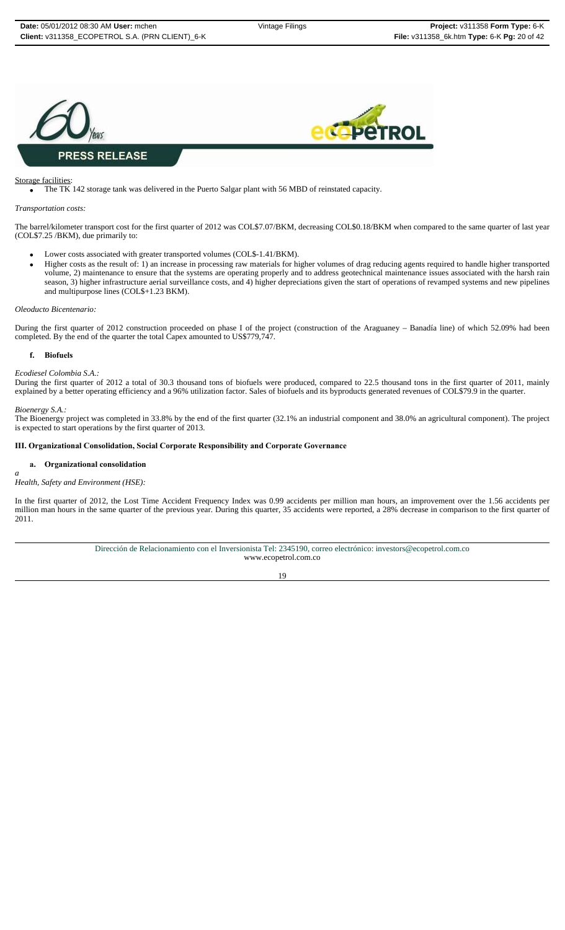



#### Storage facilities:

The TK 142 storage tank was delivered in the Puerto Salgar plant with 56 MBD of reinstated capacity.

#### *Transportation costs:*

The barrel/kilometer transport cost for the first quarter of 2012 was COL\$7.07/BKM, decreasing COL\$0.18/BKM when compared to the same quarter of last year (COL\$7.25 /BKM), due primarily to:

- Lower costs associated with greater transported volumes (COL\$-1.41/BKM).
- Higher costs as the result of: 1) an increase in processing raw materials for higher volumes of drag reducing agents required to handle higher transported volume, 2) maintenance to ensure that the systems are operating properly and to address geotechnical maintenance issues associated with the harsh rain season, 3) higher infrastructure aerial surveillance costs, and 4) higher depreciations given the start of operations of revamped systems and new pipelines and multipurpose lines (COL\$+1.23 BKM).

#### *Oleoducto Bicentenario:*

During the first quarter of 2012 construction proceeded on phase I of the project (construction of the Araguaney – Banadía line) of which 52.09% had been completed. By the end of the quarter the total Capex amounted to US\$779,747.

#### **f. Biofuels**

#### *Ecodiesel Colombia S.A.:*

During the first quarter of 2012 a total of 30.3 thousand tons of biofuels were produced, compared to 22.5 thousand tons in the first quarter of 2011, mainly explained by a better operating efficiency and a 96% utilization factor. Sales of biofuels and its byproducts generated revenues of COL\$79.9 in the quarter.

#### *Bioenergy S.A.:*

The Bioenergy project was completed in 33.8% by the end of the first quarter (32.1% an industrial component and 38.0% an agricultural component). The project is expected to start operations by the first quarter of 2013.

#### **III. Organizational Consolidation, Social Corporate Responsibility and Corporate Governance**

#### **a. Organizational consolidation**

#### *a Health, Safety and Environment (HSE):*

In the first quarter of 2012, the Lost Time Accident Frequency Index was 0.99 accidents per million man hours, an improvement over the 1.56 accidents per million man hours in the same quarter of the previous year. During this quarter, 35 accidents were reported, a 28% decrease in comparison to the first quarter of 2011.

> Dirección de Relacionamiento con el Inversionista Tel: 2345190, correo electrónico: investors@ecopetrol.com.co www.ecopetrol.com.co

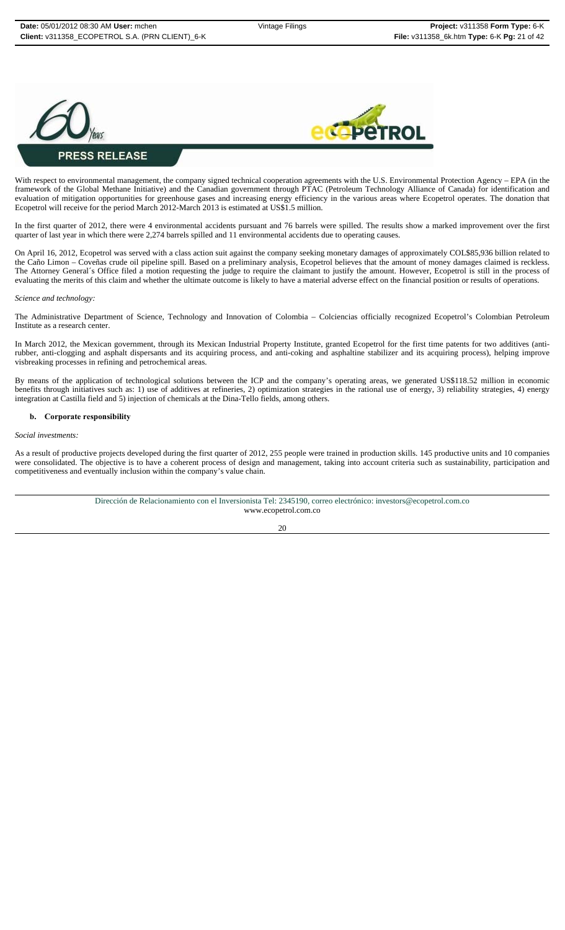



#### With respect to environmental management, the company signed technical cooperation agreements with the U.S. Environmental Protection Agency – EPA (in the framework of the Global Methane Initiative) and the Canadian government through PTAC (Petroleum Technology Alliance of Canada) for identification and evaluation of mitigation opportunities for greenhouse gases and increasing energy efficiency in the various areas where Ecopetrol operates. The donation that Ecopetrol will receive for the period March 2012-March 2013 is estimated at US\$1.5 million.

In the first quarter of 2012, there were 4 environmental accidents pursuant and 76 barrels were spilled. The results show a marked improvement over the first quarter of last year in which there were 2,274 barrels spilled and 11 environmental accidents due to operating causes.

On April 16, 2012, Ecopetrol was served with a class action suit against the company seeking monetary damages of approximately COL\$85,936 billion related to the Caño Limon – Coveñas crude oil pipeline spill. Based on a preliminary analysis, Ecopetrol believes that the amount of money damages claimed is reckless. The Attorney General´s Office filed a motion requesting the judge to require the claimant to justify the amount. However, Ecopetrol is still in the process of evaluating the merits of this claim and whether the ultimate outcome is likely to have a material adverse effect on the financial position or results of operations.

#### *Science and technology:*

The Administrative Department of Science, Technology and Innovation of Colombia – Colciencias officially recognized Ecopetrol's Colombian Petroleum Institute as a research center.

In March 2012, the Mexican government, through its Mexican Industrial Property Institute, granted Ecopetrol for the first time patents for two additives (antirubber, anti-clogging and asphalt dispersants and its acquiring process, and anti-coking and asphaltine stabilizer and its acquiring process), helping improve visbreaking processes in refining and petrochemical areas.

By means of the application of technological solutions between the ICP and the company's operating areas, we generated US\$118.52 million in economic benefits through initiatives such as: 1) use of additives at refineries, 2) optimization strategies in the rational use of energy, 3) reliability strategies, 4) energy integration at Castilla field and 5) injection of chemicals at the Dina-Tello fields, among others.

#### **b. Corporate responsibility**

#### *Social investments:*

As a result of productive projects developed during the first quarter of 2012, 255 people were trained in production skills. 145 productive units and 10 companies were consolidated. The objective is to have a coherent process of design and management, taking into account criteria such as sustainability, participation and competitiveness and eventually inclusion within the company's value chain.

> Dirección de Relacionamiento con el Inversionista Tel: 2345190, correo electrónico: investors@ecopetrol.com.co www.ecopetrol.com.co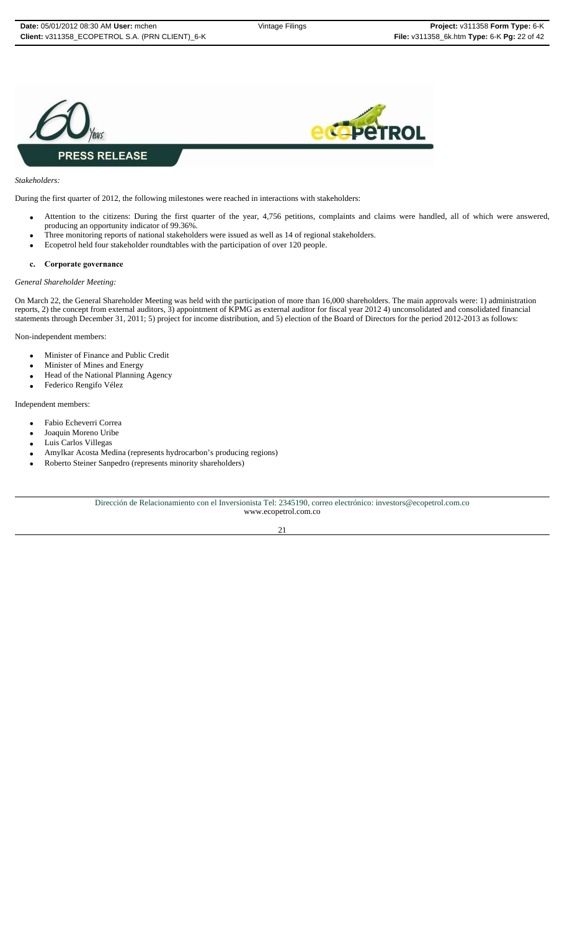



#### *Stakeholders:*

During the first quarter of 2012, the following milestones were reached in interactions with stakeholders:

- Attention to the citizens: During the first quarter of the year, 4,756 petitions, complaints and claims were handled, all of which were answered, producing an opportunity indicator of 99.36%.
- Three monitoring reports of national stakeholders were issued as well as 14 of regional stakeholders.
- Ecopetrol held four stakeholder roundtables with the participation of over 120 people.

#### **c. Corporate governance**

#### *General Shareholder Meeting:*

On March 22, the General Shareholder Meeting was held with the participation of more than 16,000 shareholders. The main approvals were: 1) administration reports, 2) the concept from external auditors, 3) appointment of KPMG as external auditor for fiscal year 2012 4) unconsolidated and consolidated financial statements through December 31, 2011; 5) project for income distribution, and 5) election of the Board of Directors for the period 2012-2013 as follows:

Non-independent members:

- Minister of Finance and Public Credit
- Minister of Mines and Energy
- Head of the National Planning Agency
- Federico Rengifo Vélez

#### Independent members:

- Fabio Echeverri Correa
- Joaquin Moreno Uribe
- Luis Carlos Villegas
- Amylkar Acosta Medina (represents hydrocarbon's producing regions)
- Roberto Steiner Sanpedro (represents minority shareholders)

Dirección de Relacionamiento con el Inversionista Tel: 2345190, correo electrónico: investors@ecopetrol.com.co www.ecopetrol.com.co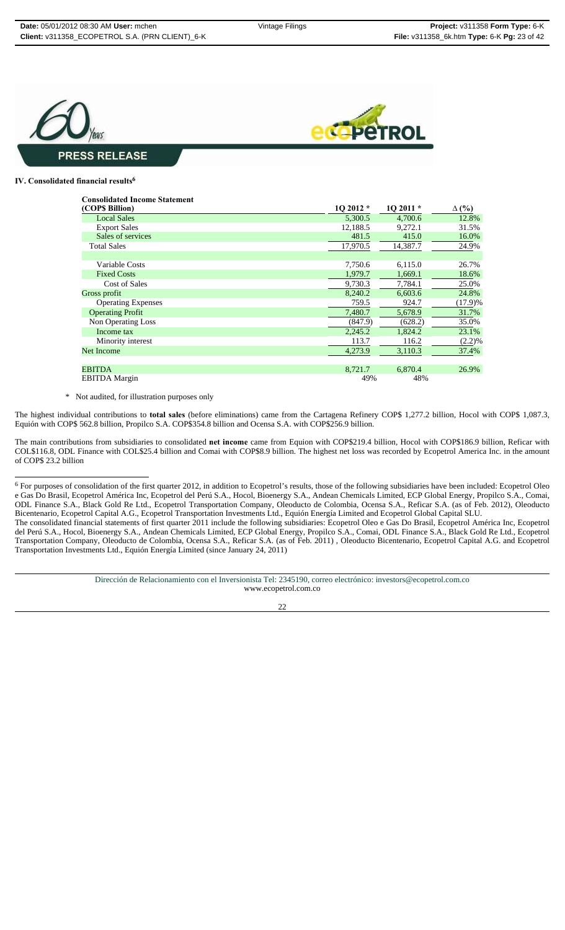

#### **IV. Consolidated financial results<sup>6</sup>**

| <b>Consolidated Income Statement</b> |           |           |              |
|--------------------------------------|-----------|-----------|--------------|
| (COP\$ Billion)                      | $102012*$ | $102011*$ | $\Delta$ (%) |
| <b>Local Sales</b>                   | 5,300.5   | 4,700.6   | 12.8%        |
| <b>Export Sales</b>                  | 12.188.5  | 9,272.1   | 31.5%        |
| Sales of services                    | 481.5     | 415.0     | 16.0%        |
| <b>Total Sales</b>                   | 17,970.5  | 14,387.7  | 24.9%        |
|                                      |           |           |              |
| Variable Costs                       | 7,750.6   | 6,115.0   | 26.7%        |
| <b>Fixed Costs</b>                   | 1,979.7   | 1,669.1   | 18.6%        |
| <b>Cost of Sales</b>                 | 9,730.3   | 7,784.1   | 25.0%        |
| Gross profit                         | 8,240.2   | 6,603.6   | 24.8%        |
| <b>Operating Expenses</b>            | 759.5     | 924.7     | (17.9)%      |
| <b>Operating Profit</b>              | 7,480.7   | 5,678.9   | 31.7%        |
| Non Operating Loss                   | (847.9)   | (628.2)   | 35.0%        |
| Income tax                           | 2,245.2   | 1,824.2   | 23.1%        |
| Minority interest                    | 113.7     | 116.2     | (2.2)%       |
| <b>Net Income</b>                    | 4,273.9   | 3,110.3   | 37.4%        |
|                                      |           |           |              |
| <b>EBITDA</b>                        | 8,721.7   | 6,870.4   | 26.9%        |
| <b>EBITDA</b> Margin                 | 49%       | 48%       |              |

\* Not audited, for illustration purposes only

The highest individual contributions to **total sales** (before eliminations) came from the Cartagena Refinery COP\$ 1,277.2 billion, Hocol with COP\$ 1,087.3, Equión with COP\$ 562.8 billion, Propilco S.A. COP\$354.8 billion and Ocensa S.A. with COP\$256.9 billion.

The main contributions from subsidiaries to consolidated **net income** came from Equion with COP\$219.4 billion, Hocol with COP\$186.9 billion, Reficar with COL\$116.8, ODL Finance with COL\$25.4 billion and Comai with COP\$8.9 billion. The highest net loss was recorded by Ecopetrol America Inc. in the amount of COP\$ 23.2 billion

 $6$  For purposes of consolidation of the first quarter 2012, in addition to Ecopetrol's results, those of the following subsidiaries have been included: Ecopetrol Oleo e Gas Do Brasil, Ecopetrol América Inc, Ecopetrol del Perú S.A., Hocol, Bioenergy S.A., Andean Chemicals Limited, ECP Global Energy, Propilco S.A., Comai, ODL Finance S.A., Black Gold Re Ltd., Ecopetrol Transportation Company, Oleoducto de Colombia, Ocensa S.A., Reficar S.A. (as of Feb. 2012), Oleoducto Bicentenario, Ecopetrol Capital A.G., Ecopetrol Transportation Investments Ltd., Equión Energía Limited and Ecopetrol Global Capital SLU. The consolidated financial statements of first quarter 2011 include the following subsidiaries: Ecopetrol Oleo e Gas Do Brasil, Ecopetrol América Inc, Ecopetrol del Perú S.A., Hocol, Bioenergy S.A., Andean Chemicals Limited, ECP Global Energy, Propilco S.A., Comai, ODL Finance S.A., Black Gold Re Ltd., Ecopetrol Transportation Company, Oleoducto de Colombia, Ocensa S.A., Reficar S.A. (as of Feb. 2011) , Oleoducto Bicentenario, Ecopetrol Capital A.G. and Ecopetrol Transportation Investments Ltd., Equión Energía Limited (since January 24, 2011)

> Dirección de Relacionamiento con el Inversionista Tel: 2345190, correo electrónico: investors@ecopetrol.com.co www.ecopetrol.com.co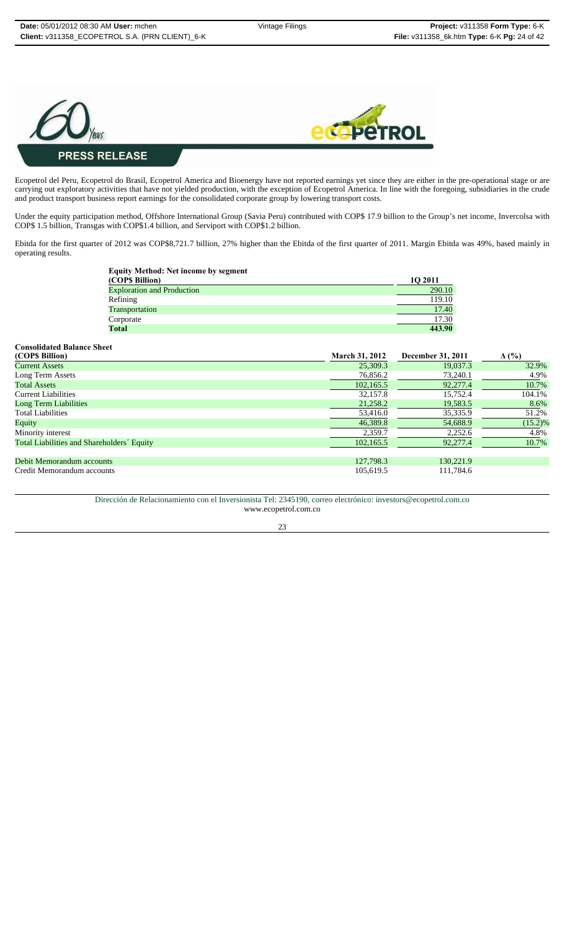



#### Ecopetrol del Peru, Ecopetrol do Brasil, Ecopetrol America and Bioenergy have not reported earnings yet since they are either in the pre-operational stage or are carrying out exploratory activities that have not yielded production, with the exception of Ecopetrol America. In line with the foregoing, subsidiaries in the crude and product transport business report earnings for the consolidated corporate group by lowering transport costs.

Under the equity participation method, Offshore International Group (Savia Peru) contributed with COP\$ 17.9 billion to the Group's net income, Invercolsa with COP\$ 1.5 billion, Transgas with COP\$1.4 billion, and Serviport with COP\$1.2 billion.

Ebitda for the first quarter of 2012 was COP\$8,721.7 billion, 27% higher than the Ebitda of the first quarter of 2011. Margin Ebitda was 49%, based mainly in operating results.

| <b>Equity Method: Net income by segment</b> |                |
|---------------------------------------------|----------------|
| (COP\$ Billion)                             | <b>10 2011</b> |
| <b>Exploration and Production</b>           | 290.10         |
| Refining                                    | 119.10         |
| Transportation                              | 17.40          |
| Corporate                                   | 17.30          |
| Total                                       | 443.90         |

| <b>Consolidated Balance Sheet</b>          |                       |                   |              |
|--------------------------------------------|-----------------------|-------------------|--------------|
| (COPS Billion)                             | <b>March 31, 2012</b> | December 31, 2011 | $\Delta$ (%) |
| <b>Current Assets</b>                      | 25,309.3              | 19.037.3          | 32.9%        |
| Long Term Assets                           | 76,856.2              | 73,240.1          | 4.9%         |
| <b>Total Assets</b>                        | 102,165.5             | 92,277.4          | 10.7%        |
| <b>Current Liabilities</b>                 | 32,157.8              | 15.752.4          | 104.1%       |
| <b>Long Term Liabilities</b>               | 21,258.2              | 19,583.5          | 8.6%         |
| <b>Total Liabilities</b>                   | 53,416.0              | 35,335.9          | 51.2%        |
| Equity                                     | 46,389.8              | 54,688.9          | $(15.2)\%$   |
| Minority interest                          | 2,359.7               | 2,252.6           | 4.8%         |
| Total Liabilities and Shareholders' Equity | 102,165.5             | 92,277.4          | 10.7%        |
|                                            |                       |                   |              |
| Debit Memorandum accounts                  | 127,798.3             | 130,221.9         |              |
| Credit Memorandum accounts                 | 105,619.5             | 111,784.6         |              |

Dirección de Relacionamiento con el Inversionista Tel: 2345190, correo electrónico: investors@ecopetrol.com.co www.ecopetrol.com.co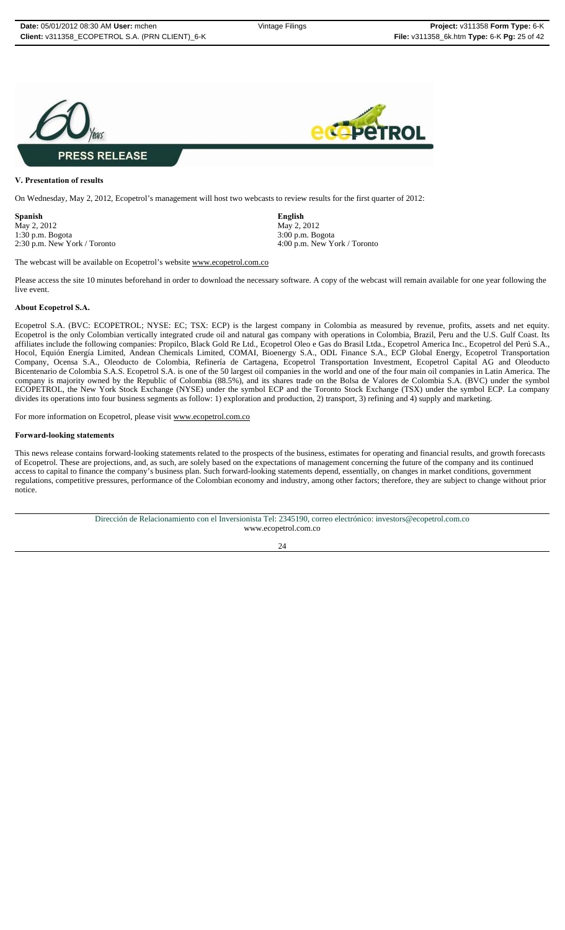

#### **V. Presentation of results**

On Wednesday, May 2, 2012, Ecopetrol's management will host two webcasts to review results for the first quarter of 2012:

**Spanish English** May 2, 2012<br>1:30 p.m. Bogota 3:00 p.m. Bogota

1:30 p.m. Bogota 3:00 p.m. Bogota 2:30 p.m. New York / Toronto 4:00 p.m. New York / Toronto

The webcast will be available on Ecopetrol's website www.ecopetrol.com.co

Please access the site 10 minutes beforehand in order to download the necessary software. A copy of the webcast will remain available for one year following the live event.

#### **About Ecopetrol S.A.**

Ecopetrol S.A. (BVC: ECOPETROL; NYSE: EC; TSX: ECP) is the largest company in Colombia as measured by revenue, profits, assets and net equity. Ecopetrol is the only Colombian vertically integrated crude oil and natural gas company with operations in Colombia, Brazil, Peru and the U.S. Gulf Coast. Its affiliates include the following companies: Propilco, Black Gold Re Ltd., Ecopetrol Oleo e Gas do Brasil Ltda., Ecopetrol America Inc., Ecopetrol del Perú S.A., Hocol, Equión Energía Limited, Andean Chemicals Limited, COMAI, Bioenergy S.A., ODL Finance S.A., ECP Global Energy, Ecopetrol Transportation Company, Ocensa S.A., Oleoducto de Colombia, Refinería de Cartagena, Ecopetrol Transportation Investment, Ecopetrol Capital AG and Oleoducto Bicentenario de Colombia S.A.S. Ecopetrol S.A. is one of the 50 largest oil companies in the world and one of the four main oil companies in Latin America. The company is majority owned by the Republic of Colombia (88.5%), and its shares trade on the Bolsa de Valores de Colombia S.A. (BVC) under the symbol ECOPETROL, the New York Stock Exchange (NYSE) under the symbol ECP and the Toronto Stock Exchange (TSX) under the symbol ECP. La company divides its operations into four business segments as follow: 1) exploration and production, 2) transport, 3) refining and 4) supply and marketing.

For more information on Ecopetrol, please visit www.ecopetrol.com.co

#### **Forward-looking statements**

This news release contains forward-looking statements related to the prospects of the business, estimates for operating and financial results, and growth forecasts of Ecopetrol. These are projections, and, as such, are solely based on the expectations of management concerning the future of the company and its continued access to capital to finance the company's business plan. Such forward-looking statements depend, essentially, on changes in market conditions, government regulations, competitive pressures, performance of the Colombian economy and industry, among other factors; therefore, they are subject to change without prior notice.

> Dirección de Relacionamiento con el Inversionista Tel: 2345190, correo electrónico: investors@ecopetrol.com.co www.ecopetrol.com.co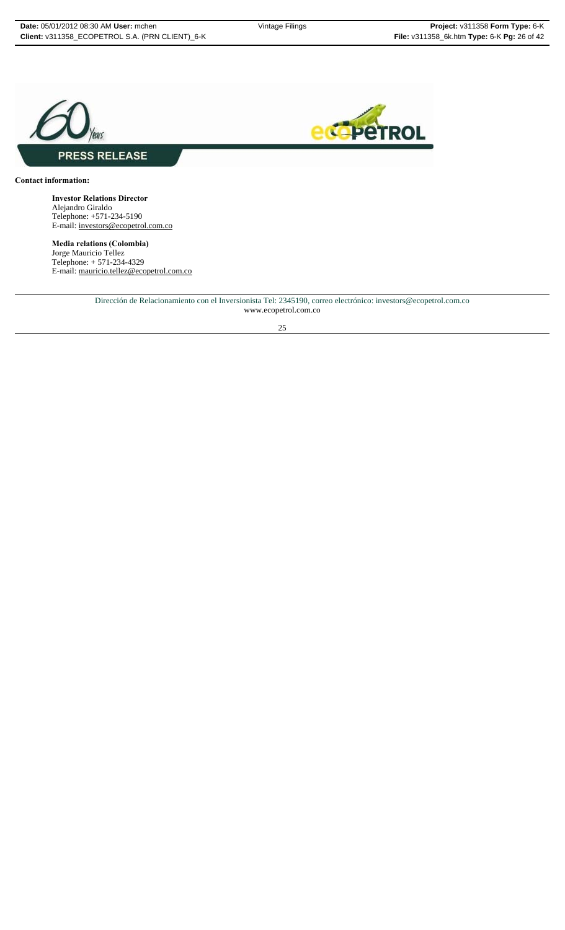



#### **Contact information:**

**Investor Relations Director** Alejandro Giraldo Telephone: +571-234-5190 E-mail: investors@ecopetrol.com.co

**Media relations (Colombia)** Jorge Mauricio Tellez Telephone: + 571-234-4329 E-mail: mauricio.tellez@ecopetrol.com.co

> Dirección de Relacionamiento con el Inversionista Tel: 2345190, correo electrónico: investors@ecopetrol.com.co www.ecopetrol.com.co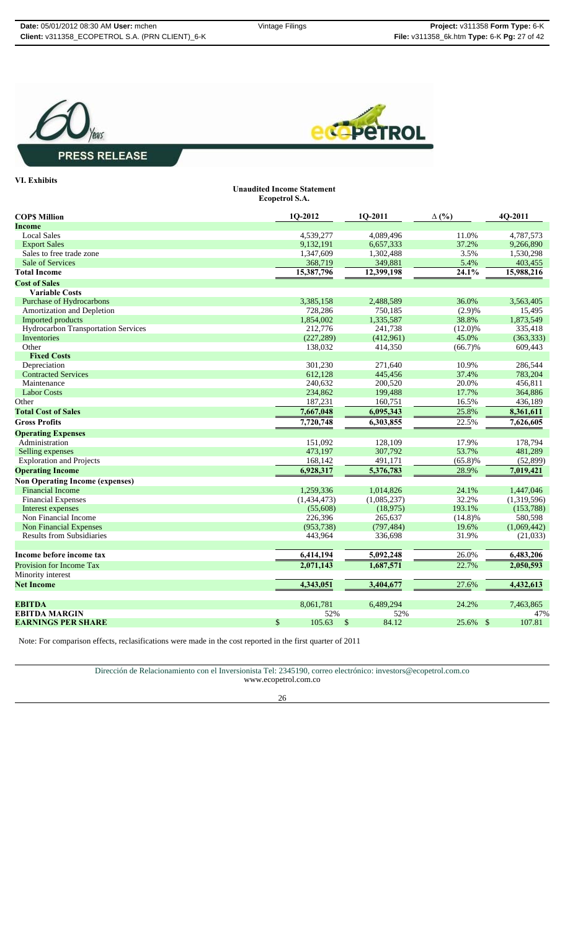**Unaudited Income Statement**





### **PRESS RELEASE**

#### **VI. Exhibits**

|                                        | Ecopetrol S.A. |             |              |             |
|----------------------------------------|----------------|-------------|--------------|-------------|
| <b>COPS Million</b>                    | 1Q-2012        | 1Q-2011     | $\Delta$ (%) | 4Q-2011     |
| <b>Income</b>                          |                |             |              |             |
| <b>Local Sales</b>                     | 4,539,277      | 4,089,496   | 11.0%        | 4,787,573   |
| <b>Export Sales</b>                    | 9,132,191      | 6,657,333   | 37.2%        | 9,266,890   |
| Sales to free trade zone               | 1,347,609      | 1,302,488   | 3.5%         | 1,530,298   |
| Sale of Services                       | 368,719        | 349,881     | 5.4%         | 403,455     |
| <b>Total Income</b>                    | 15,387,796     | 12,399,198  | 24.1%        | 15,988,216  |
| <b>Cost of Sales</b>                   |                |             |              |             |
| <b>Variable Costs</b>                  |                |             |              |             |
| <b>Purchase of Hydrocarbons</b>        | 3,385,158      | 2,488,589   | 36.0%        | 3,563,405   |
| Amortization and Depletion             | 728,286        | 750,185     | (2.9)%       | 15,495      |
| Imported products                      | 1,854,002      | 1,335,587   | 38.8%        | 1,873,549   |
| Hydrocarbon Transportation Services    | 212,776        | 241,738     | $(12.0)\%$   | 335,418     |
| Inventories                            | (227, 289)     | (412,961)   | 45.0%        | (363, 333)  |
| Other                                  | 138,032        | 414,350     | $(66.7)\%$   | 609,443     |
| <b>Fixed Costs</b>                     |                |             |              |             |
| Depreciation                           | 301,230        | 271,640     | 10.9%        | 286.544     |
| <b>Contracted Services</b>             | 612,128        | 445,456     | 37.4%        | 783,204     |
| Maintenance                            | 240,632        | 200,520     | 20.0%        | 456,811     |
| <b>Labor Costs</b>                     | 234,862        | 199,488     | 17.7%        | 364,886     |
| Other                                  | 187,231        | 160,751     | 16.5%        | 436,189     |
| <b>Total Cost of Sales</b>             | 7,667,048      | 6,095,343   | 25.8%        | 8,361,611   |
| <b>Gross Profits</b>                   | 7,720,748      | 6,303,855   | 22.5%        | 7,626,605   |
| <b>Operating Expenses</b>              |                |             |              |             |
| Administration                         | 151,092        | 128,109     | 17.9%        | 178,794     |
| Selling expenses                       | 473,197        | 307,792     | 53.7%        | 481,289     |
| <b>Exploration and Projects</b>        | 168,142        | 491,171     | $(65.8)\%$   | (52, 899)   |
| <b>Operating Income</b>                | 6,928,317      | 5,376,783   | 28.9%        | 7,019,421   |
| <b>Non Operating Income (expenses)</b> |                |             |              |             |
| <b>Financial Income</b>                | 1,259,336      | 1,014,826   | 24.1%        | 1,447,046   |
| <b>Financial Expenses</b>              | (1,434,473)    | (1,085,237) | 32.2%        | (1,319,596) |
| Interest expenses                      | (55,608)       | (18, 975)   | 193.1%       | (153, 788)  |
| Non Financial Income                   | 226,396        | 265,637     | $(14.8)\%$   | 580,598     |
| <b>Non Financial Expenses</b>          | (953, 738)     | (797, 484)  | 19.6%        | (1,069,442) |
| <b>Results from Subsidiaries</b>       | 443,964        | 336,698     | 31.9%        | (21,033)    |
|                                        |                |             |              |             |
| Income before income tax               | 6,414,194      | 5,092,248   | 26.0%        | 6,483,206   |
| Provision for Income Tax               | 2,071,143      | 1,687,571   | 22.7%        | 2,050,593   |
| Minority interest                      |                |             |              |             |
| <b>Net Income</b>                      | 4,343,051      | 3,404,677   | 27.6%        | 4,432,613   |
| EBITDA                                 | 8,061,781      | 6.489.294   | 24.2%        | 7,463,865   |
| <b>EBITDA MARGIN</b>                   | 52%            | 52%         |              | 47%         |
| <b>EARNINGS PER SHARE</b>              | \$<br>105.63   | \$<br>84.12 | 25.6% \$     | 107.81      |

Note: For comparison effects, reclasifications were made in the cost reported in the first quarter of 2011

Dirección de Relacionamiento con el Inversionista Tel: 2345190, correo electrónico: investors@ecopetrol.com.co

www.ecopetrol.com.co

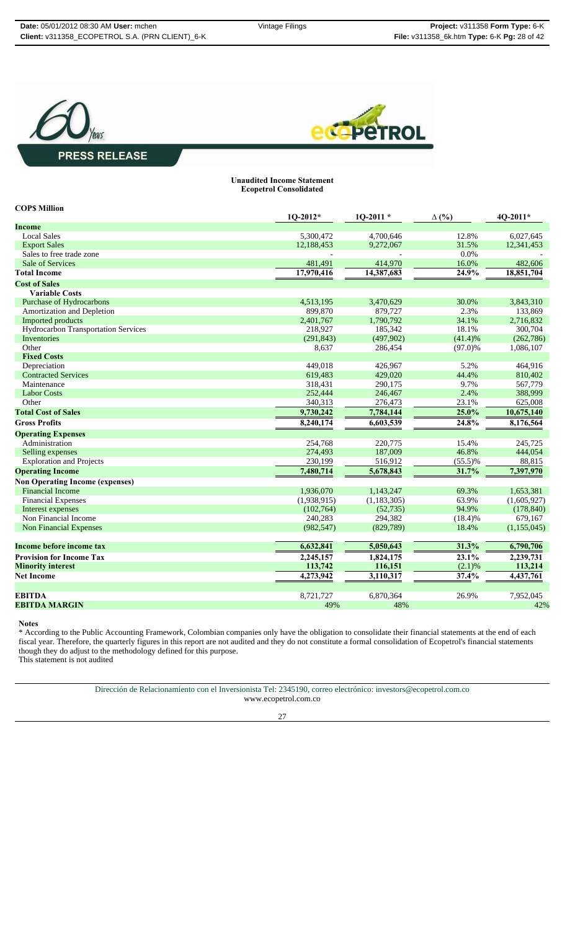



#### **Unaudited Income Statement Ecopetrol Consolidated**

| <b>COPS Million</b>                    |             |               |              |             |
|----------------------------------------|-------------|---------------|--------------|-------------|
|                                        | $1Q-2012*$  | $1Q-2011*$    | $\Delta$ (%) | 4Q-2011*    |
| <b>Income</b>                          |             |               |              |             |
| <b>Local Sales</b>                     | 5,300,472   | 4,700,646     | 12.8%        | 6,027,645   |
| <b>Export Sales</b>                    | 12,188,453  | 9,272,067     | 31.5%        | 12,341,453  |
| Sales to free trade zone               |             |               | 0.0%         |             |
| Sale of Services                       | 481,491     | 414,970       | 16.0%        | 482,606     |
| <b>Total Income</b>                    | 17,970,416  | 14,387,683    | 24.9%        | 18,851,704  |
| <b>Cost of Sales</b>                   |             |               |              |             |
| <b>Variable Costs</b>                  |             |               |              |             |
| Purchase of Hydrocarbons               | 4,513,195   | 3,470,629     | 30.0%        | 3.843.310   |
| Amortization and Depletion             | 899,870     | 879,727       | 2.3%         | 133,869     |
| <b>Imported products</b>               | 2,401,767   | 1.790.792     | 34.1%        | 2,716,832   |
| Hydrocarbon Transportation Services    | 218,927     | 185,342       | 18.1%        | 300,704     |
| Inventories                            | (291, 843)  | (497,902)     | (41.4)%      | (262,786)   |
| Other                                  | 8,637       | 286,454       | $(97.0)\%$   | 1,086,107   |
| <b>Fixed Costs</b>                     |             |               |              |             |
| Depreciation                           | 449.018     | 426,967       | 5.2%         | 464,916     |
| <b>Contracted Services</b>             | 619,483     | 429,020       | 44.4%        | 810,402     |
| Maintenance                            | 318,431     | 290,175       | 9.7%         | 567,779     |
| <b>Labor Costs</b>                     | 252,444     | 246,467       | 2.4%         | 388,999     |
| Other                                  | 340,313     | 276,473       | 23.1%        | 625,008     |
| <b>Total Cost of Sales</b>             | 9,730,242   | 7,784,144     | 25.0%        | 10,675,140  |
| <b>Gross Profits</b>                   | 8,240,174   | 6,603,539     | 24.8%        | 8,176,564   |
| <b>Operating Expenses</b>              |             |               |              |             |
| Administration                         | 254,768     | 220,775       | 15.4%        | 245,725     |
| Selling expenses                       | 274,493     | 187,009       | 46.8%        | 444,054     |
| <b>Exploration and Projects</b>        | 230,199     | 516,912       | $(55.5)\%$   | 88,815      |
| <b>Operating Income</b>                | 7,480,714   | 5,678,843     | 31.7%        | 7,397,970   |
| <b>Non Operating Income (expenses)</b> |             |               |              |             |
| <b>Financial Income</b>                | 1,936,070   | 1,143,247     | 69.3%        | 1,653,381   |
| <b>Financial Expenses</b>              | (1,938,915) | (1, 183, 305) | 63.9%        | (1,605,927) |
| Interest expenses                      | (102,764)   | (52, 735)     | 94.9%        | (178, 840)  |
| Non Financial Income                   | 240,283     | 294,382       | $(18.4)\%$   | 679,167     |
| <b>Non Financial Expenses</b>          | (982, 547)  | (829,789)     | 18.4%        | (1,155,045) |
| Income before income tax               | 6,632,841   | 5,050,643     | 31.3%        | 6,790,706   |
| <b>Provision for Income Tax</b>        | 2,245,157   | 1,824,175     | 23.1%        | 2,239,731   |
| <b>Minority interest</b>               | 113,742     | 116,151       | (2.1)%       | 113,214     |
| <b>Net Income</b>                      | 4,273,942   | 3,110,317     | 37.4%        | 4,437,761   |
|                                        |             |               |              |             |
| <b>EBITDA</b>                          | 8,721,727   | 6,870,364     | 26.9%        | 7,952,045   |
| <b>EBITDA MARGIN</b>                   | 49%         | 48%           |              | 42%         |
|                                        |             |               |              |             |

**Notes**

\* According to the Public Accounting Framework, Colombian companies only have the obligation to consolidate their financial statements at the end of each fiscal year. Therefore, the quarterly figures in this report are not audited and they do not constitute a formal consolidation of Ecopetrol's financial statements fiscal year. Therefore, the quarterly figures in this report are not audited and they do not constitute a formal consolidation of Ecopetrol's financial statements though they do adjust to the methodology defined for this p This statement is not audited

Dirección de Relacionamiento con el Inversionista Tel: 2345190, correo electrónico: investors@ecopetrol.com.co

www.ecopetrol.com.co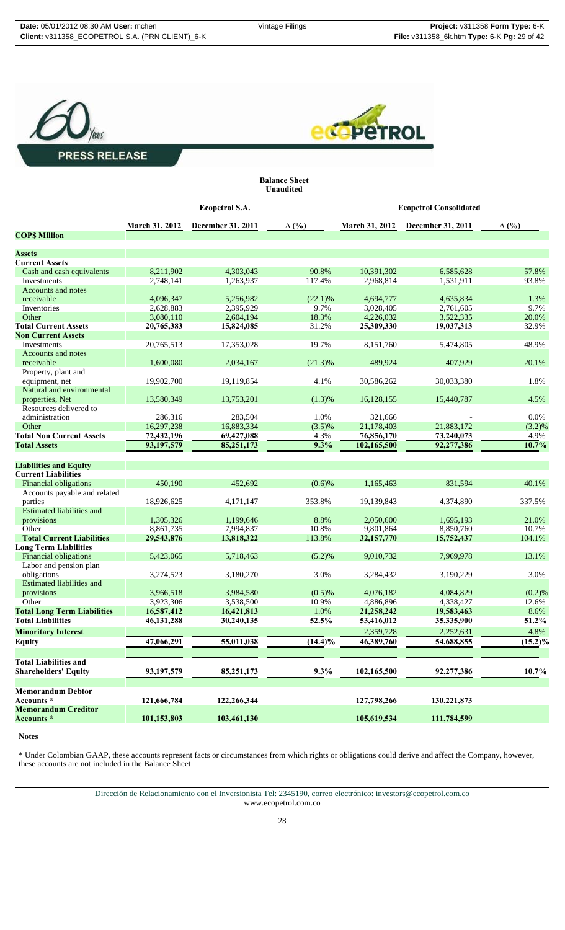**Balance Sheet**





**Unaudited Ecopetrol S.A. Ecopetrol Consolidated March 31, 2012 December 31, 2011 ∆ (%) March 31, 2012 December 31, 2011 ∆ (%) COP\$ Million Assets Current Assets** Cash and cash equivalents  $\begin{array}{@{}c@{\hspace{1em}}c@{\hspace{1em}}c@{\hspace{1em}}c@{\hspace{1em}}c@{\hspace{1em}}c@{\hspace{1em}}c@{\hspace{1em}}c@{\hspace{1em}}c@{\hspace{1em}}c@{\hspace{1em}}c@{\hspace{1em}}c@{\hspace{1em}}c@{\hspace{1em}}c@{\hspace{1em}}c@{\hspace{1em}}c@{\hspace{1em}}c@{\hspace{1em}}c@{\hspace{1em}}c@{\hspace{1em}}c@{\hspace{1em}}c@{\hspace{1em$ Investments 2,748,141 1,263,937 117.4% 2,968,814 1,531,911 93.8% Accounts and notes receivable 4,096,347 5,256,982 (22.1)% 4,694,777 4,635,834 1.3% Inventories 2,628,883 2,395,929 9.7% 3,028,405 2,761,605 9.7% 3,028,405 Other 3,080,110 2,604,194 18.3% 4,226,032 3,522,335 20.0% **Total Current Assets 20,765,383 15,824,085** 31.2% **25,309,330 19,037,313** 32.9% **Non Current Assets** Investments 20,765,513 17,353,028 19.7% 8,151,760 5,474,805 48.9% Accounts and notes receivable 1,600,080 2,034,167 (21.3)% 489,924 407,929 20.1% Property, plant and equipment, net 19,902,700 19,119,854 4.1% 30,586,262 30,033,380 1.8% Natural and environmental<br>properties, Net properties, Net 13,580,349 13,753,201 (1.3)% 16,128,155 15,440,787 4.5% Resources delivered to administration 286,316 283,504 1.0% 321,666 - 0.0% Other 16,297,238 16,883,334 (3.5)% 21,178,403 21,883,172 (3.2)% **Total Non Current Assets 72,432,196 69,427,088** 4.3% **76,856,170 73,240,073** 4.9% **Total Assets 93,197,579 85,251,173 9.3% 102,165,500 92,277,386 10.7% Liabilities and Equity Current Liabilities** Financial obligations 450,190 452,692 (0.6)% 1,165,463 831,594 40.1% Accounts payable and related parties 18,926,625 4,171,147 353.8% 19,139,843 4,374,890 337.5% Estimated liabilities and provisions 1,305,326 1,199,646 8.8% 2,050,600 1,695,193 21.0% Other 8,861,735 7,994,837 10.8% 9,801,864 8,850,760 10.7% **Total Current Liabilities 29,543,876 13,818,322** 113.8% **32,157,770 15,752,437** 104.1% **Long Term Liabilities** Financial obligations 5,423,065 5,718,463 (5.2)% 9,010,732 7,969,978 13.1% Labor and pension plan obligations 3,274,523 3,180,270 3.0% 3,284,432 3,190,229 3.0% Estimated liabilities and provisions 3,966,518 3,984,580 (0.5)% 4,076,182 4,084,829 (0.2)% Other 3,923,306 3,538,500 10.9% 4,886,896 4,338,427 12.6% **Total Long Term Liabilities 16,587,412 16,421,813** 1.0% **21,258,242** 19,583,463 8.6%<br> **Total Liabilities** 46,131,288 30,240,135 52.5% 53,416,012 35,335,900 51.2% **Total Liabilities 46,131,288 30,240,135 52.5% 53,416,012 35,335,900 51.2% Minoritary Interest** 2,359,728 2,252,631 4.8% **Equity 47,066,291 55,011,038 (14.4)% 46,389,760 54,688,855 (15.2)% Total Liabilities and Shareholders' Equity 93,197,579 85,251,173 9.3% 102,165,500 92,277,386 10.7%**

#### **Notes**

**Memorandum Debtor** 

**Memorandum Creditor** 

\* Under Colombian GAAP, these accounts represent facts or circumstances from which rights or obligations could derive and affect the Company, however, these accounts are not included in the Balance Sheet

**Accounts \* 121,666,784 122,266,344 127,798,266 130,221,873**

**Accounts \* 101,153,803 103,461,130 105,619,534 111,784,599**

Dirección de Relacionamiento con el Inversionista Tel: 2345190, correo electrónico: investors@ecopetrol.com.co www.ecopetrol.com.co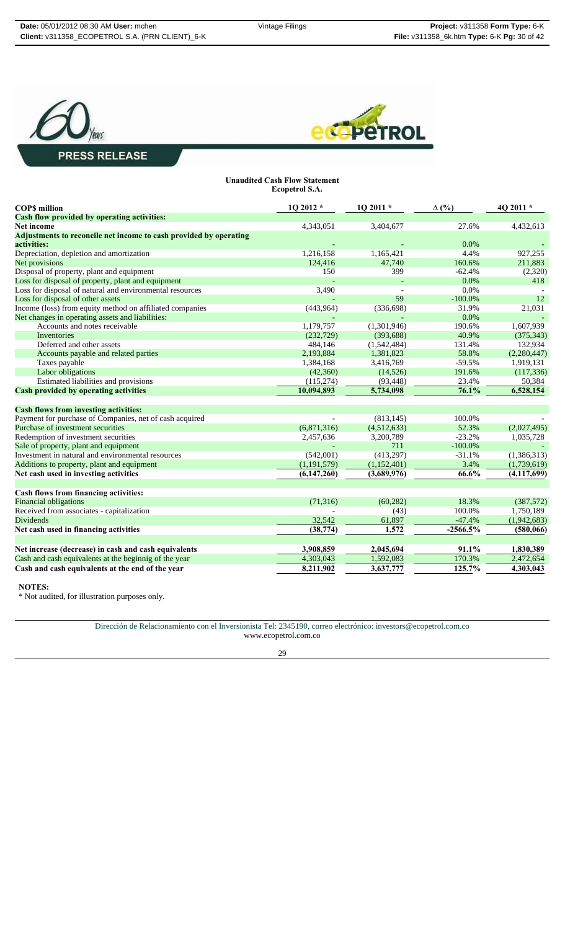



#### **Unaudited Cash Flow Statement Ecopetrol S.A.**

| 4,432,613<br>4,343,051<br>3,404,677<br>27.6%<br>0.0%<br>Depreciation, depletion and amortization<br>1,216,158<br>1,165,421<br>4.4%<br>927,255<br>47.740<br>124.416<br>160.6%<br>211,883<br>150<br>399<br>$-62.4%$<br>(2,320)<br>0.0%<br>418<br>3,490<br>0.0%<br>59<br>$-100.0\%$<br>12<br>21,031<br>(443, 964)<br>(336, 698)<br>31.9%<br>0.0%<br>Accounts and notes receivable<br>1,179,757<br>(1,301,946)<br>1,607,939<br>190.6%<br>Inventories<br>(232, 729)<br>(393, 688)<br>40.9%<br>(375, 343)<br>Deferred and other assets<br>132,934<br>484,146<br>(1,542,484)<br>131.4%<br>2,193,884<br>(2,280,447)<br>1,381,823<br>58.8%<br>Accounts payable and related parties<br>Taxes payable<br>1,919,131<br>1,384,168<br>3,416,769<br>$-59.5%$<br>Labor obligations<br>(117, 336)<br>(42,360)<br>(14,526)<br>191.6%<br>Estimated liabilities and provisions<br>23.4%<br>(115, 274)<br>(93, 448)<br>50,384<br>5,734,098<br>76.1%<br>6,528,154<br>10,094,893<br><b>Cash flows from investing activities:</b><br>Payment for purchase of Companies, net of cash acquired<br>(813, 145)<br>100.0%<br>Purchase of investment securities<br>(4,512,633)<br>52.3%<br>(6,871,316)<br>(2,027,495)<br>Redemption of investment securities<br>3,200,789<br>$-23.2%$<br>2,457,636<br>1,035,728<br>Sale of property, plant and equipment<br>$-100.0\%$<br>711<br>Investment in natural and environmental resources<br>(542,001)<br>(413,297)<br>$-31.1%$<br>(1,386,313)<br>Additions to property, plant and equipment<br>(1, 191, 579)<br>(1,152,401)<br>3.4%<br>(1,739,619)<br>Net cash used in investing activities<br>(6,147,260)<br>(3,689,976)<br>66.6%<br>(4, 117, 699)<br>(71, 316)<br>(60, 282)<br>18.3%<br>(387,572)<br>Received from associates - capitalization<br>100.0%<br>1,750,189<br>(43)<br>32,542<br>$-47.4%$<br>(1,942,683)<br>61,897<br>(38, 774)<br>1,572<br>$-2566.5%$<br>(580,066)<br>91.1%<br>Net increase (decrease) in cash and cash equivalents<br>3,908,859<br>2,045,694<br>1,830,389<br>Cash and cash equivalents at the beginnig of the year<br>4,303,043<br>1,592,083<br>170.3%<br>2,472,654 | <b>COPS</b> million                                               | 1Q 2012 * | 1Q 2011 * | $\Delta$ (%) | 4Q 2011 * |
|---------------------------------------------------------------------------------------------------------------------------------------------------------------------------------------------------------------------------------------------------------------------------------------------------------------------------------------------------------------------------------------------------------------------------------------------------------------------------------------------------------------------------------------------------------------------------------------------------------------------------------------------------------------------------------------------------------------------------------------------------------------------------------------------------------------------------------------------------------------------------------------------------------------------------------------------------------------------------------------------------------------------------------------------------------------------------------------------------------------------------------------------------------------------------------------------------------------------------------------------------------------------------------------------------------------------------------------------------------------------------------------------------------------------------------------------------------------------------------------------------------------------------------------------------------------------------------------------------------------------------------------------------------------------------------------------------------------------------------------------------------------------------------------------------------------------------------------------------------------------------------------------------------------------------------------------------------------------------------------------------------------------------------------------------------------------------------------------------------------|-------------------------------------------------------------------|-----------|-----------|--------------|-----------|
|                                                                                                                                                                                                                                                                                                                                                                                                                                                                                                                                                                                                                                                                                                                                                                                                                                                                                                                                                                                                                                                                                                                                                                                                                                                                                                                                                                                                                                                                                                                                                                                                                                                                                                                                                                                                                                                                                                                                                                                                                                                                                                               | Cash flow provided by operating activities:                       |           |           |              |           |
|                                                                                                                                                                                                                                                                                                                                                                                                                                                                                                                                                                                                                                                                                                                                                                                                                                                                                                                                                                                                                                                                                                                                                                                                                                                                                                                                                                                                                                                                                                                                                                                                                                                                                                                                                                                                                                                                                                                                                                                                                                                                                                               | <b>Net income</b>                                                 |           |           |              |           |
|                                                                                                                                                                                                                                                                                                                                                                                                                                                                                                                                                                                                                                                                                                                                                                                                                                                                                                                                                                                                                                                                                                                                                                                                                                                                                                                                                                                                                                                                                                                                                                                                                                                                                                                                                                                                                                                                                                                                                                                                                                                                                                               | Adjustments to reconcile net income to cash provided by operating |           |           |              |           |
|                                                                                                                                                                                                                                                                                                                                                                                                                                                                                                                                                                                                                                                                                                                                                                                                                                                                                                                                                                                                                                                                                                                                                                                                                                                                                                                                                                                                                                                                                                                                                                                                                                                                                                                                                                                                                                                                                                                                                                                                                                                                                                               | activities:                                                       |           |           |              |           |
|                                                                                                                                                                                                                                                                                                                                                                                                                                                                                                                                                                                                                                                                                                                                                                                                                                                                                                                                                                                                                                                                                                                                                                                                                                                                                                                                                                                                                                                                                                                                                                                                                                                                                                                                                                                                                                                                                                                                                                                                                                                                                                               |                                                                   |           |           |              |           |
|                                                                                                                                                                                                                                                                                                                                                                                                                                                                                                                                                                                                                                                                                                                                                                                                                                                                                                                                                                                                                                                                                                                                                                                                                                                                                                                                                                                                                                                                                                                                                                                                                                                                                                                                                                                                                                                                                                                                                                                                                                                                                                               | Net provisions                                                    |           |           |              |           |
|                                                                                                                                                                                                                                                                                                                                                                                                                                                                                                                                                                                                                                                                                                                                                                                                                                                                                                                                                                                                                                                                                                                                                                                                                                                                                                                                                                                                                                                                                                                                                                                                                                                                                                                                                                                                                                                                                                                                                                                                                                                                                                               | Disposal of property, plant and equipment                         |           |           |              |           |
|                                                                                                                                                                                                                                                                                                                                                                                                                                                                                                                                                                                                                                                                                                                                                                                                                                                                                                                                                                                                                                                                                                                                                                                                                                                                                                                                                                                                                                                                                                                                                                                                                                                                                                                                                                                                                                                                                                                                                                                                                                                                                                               | Loss for disposal of property, plant and equipment                |           |           |              |           |
|                                                                                                                                                                                                                                                                                                                                                                                                                                                                                                                                                                                                                                                                                                                                                                                                                                                                                                                                                                                                                                                                                                                                                                                                                                                                                                                                                                                                                                                                                                                                                                                                                                                                                                                                                                                                                                                                                                                                                                                                                                                                                                               | Loss for disposal of natural and environmental resources          |           |           |              |           |
|                                                                                                                                                                                                                                                                                                                                                                                                                                                                                                                                                                                                                                                                                                                                                                                                                                                                                                                                                                                                                                                                                                                                                                                                                                                                                                                                                                                                                                                                                                                                                                                                                                                                                                                                                                                                                                                                                                                                                                                                                                                                                                               | Loss for disposal of other assets                                 |           |           |              |           |
|                                                                                                                                                                                                                                                                                                                                                                                                                                                                                                                                                                                                                                                                                                                                                                                                                                                                                                                                                                                                                                                                                                                                                                                                                                                                                                                                                                                                                                                                                                                                                                                                                                                                                                                                                                                                                                                                                                                                                                                                                                                                                                               | Income (loss) from equity method on affiliated companies          |           |           |              |           |
|                                                                                                                                                                                                                                                                                                                                                                                                                                                                                                                                                                                                                                                                                                                                                                                                                                                                                                                                                                                                                                                                                                                                                                                                                                                                                                                                                                                                                                                                                                                                                                                                                                                                                                                                                                                                                                                                                                                                                                                                                                                                                                               | Net changes in operating assets and liabilities:                  |           |           |              |           |
|                                                                                                                                                                                                                                                                                                                                                                                                                                                                                                                                                                                                                                                                                                                                                                                                                                                                                                                                                                                                                                                                                                                                                                                                                                                                                                                                                                                                                                                                                                                                                                                                                                                                                                                                                                                                                                                                                                                                                                                                                                                                                                               |                                                                   |           |           |              |           |
|                                                                                                                                                                                                                                                                                                                                                                                                                                                                                                                                                                                                                                                                                                                                                                                                                                                                                                                                                                                                                                                                                                                                                                                                                                                                                                                                                                                                                                                                                                                                                                                                                                                                                                                                                                                                                                                                                                                                                                                                                                                                                                               |                                                                   |           |           |              |           |
|                                                                                                                                                                                                                                                                                                                                                                                                                                                                                                                                                                                                                                                                                                                                                                                                                                                                                                                                                                                                                                                                                                                                                                                                                                                                                                                                                                                                                                                                                                                                                                                                                                                                                                                                                                                                                                                                                                                                                                                                                                                                                                               |                                                                   |           |           |              |           |
|                                                                                                                                                                                                                                                                                                                                                                                                                                                                                                                                                                                                                                                                                                                                                                                                                                                                                                                                                                                                                                                                                                                                                                                                                                                                                                                                                                                                                                                                                                                                                                                                                                                                                                                                                                                                                                                                                                                                                                                                                                                                                                               |                                                                   |           |           |              |           |
|                                                                                                                                                                                                                                                                                                                                                                                                                                                                                                                                                                                                                                                                                                                                                                                                                                                                                                                                                                                                                                                                                                                                                                                                                                                                                                                                                                                                                                                                                                                                                                                                                                                                                                                                                                                                                                                                                                                                                                                                                                                                                                               |                                                                   |           |           |              |           |
|                                                                                                                                                                                                                                                                                                                                                                                                                                                                                                                                                                                                                                                                                                                                                                                                                                                                                                                                                                                                                                                                                                                                                                                                                                                                                                                                                                                                                                                                                                                                                                                                                                                                                                                                                                                                                                                                                                                                                                                                                                                                                                               |                                                                   |           |           |              |           |
|                                                                                                                                                                                                                                                                                                                                                                                                                                                                                                                                                                                                                                                                                                                                                                                                                                                                                                                                                                                                                                                                                                                                                                                                                                                                                                                                                                                                                                                                                                                                                                                                                                                                                                                                                                                                                                                                                                                                                                                                                                                                                                               |                                                                   |           |           |              |           |
|                                                                                                                                                                                                                                                                                                                                                                                                                                                                                                                                                                                                                                                                                                                                                                                                                                                                                                                                                                                                                                                                                                                                                                                                                                                                                                                                                                                                                                                                                                                                                                                                                                                                                                                                                                                                                                                                                                                                                                                                                                                                                                               | <b>Cash provided by operating activities</b>                      |           |           |              |           |
|                                                                                                                                                                                                                                                                                                                                                                                                                                                                                                                                                                                                                                                                                                                                                                                                                                                                                                                                                                                                                                                                                                                                                                                                                                                                                                                                                                                                                                                                                                                                                                                                                                                                                                                                                                                                                                                                                                                                                                                                                                                                                                               |                                                                   |           |           |              |           |
|                                                                                                                                                                                                                                                                                                                                                                                                                                                                                                                                                                                                                                                                                                                                                                                                                                                                                                                                                                                                                                                                                                                                                                                                                                                                                                                                                                                                                                                                                                                                                                                                                                                                                                                                                                                                                                                                                                                                                                                                                                                                                                               |                                                                   |           |           |              |           |
|                                                                                                                                                                                                                                                                                                                                                                                                                                                                                                                                                                                                                                                                                                                                                                                                                                                                                                                                                                                                                                                                                                                                                                                                                                                                                                                                                                                                                                                                                                                                                                                                                                                                                                                                                                                                                                                                                                                                                                                                                                                                                                               |                                                                   |           |           |              |           |
|                                                                                                                                                                                                                                                                                                                                                                                                                                                                                                                                                                                                                                                                                                                                                                                                                                                                                                                                                                                                                                                                                                                                                                                                                                                                                                                                                                                                                                                                                                                                                                                                                                                                                                                                                                                                                                                                                                                                                                                                                                                                                                               |                                                                   |           |           |              |           |
|                                                                                                                                                                                                                                                                                                                                                                                                                                                                                                                                                                                                                                                                                                                                                                                                                                                                                                                                                                                                                                                                                                                                                                                                                                                                                                                                                                                                                                                                                                                                                                                                                                                                                                                                                                                                                                                                                                                                                                                                                                                                                                               |                                                                   |           |           |              |           |
|                                                                                                                                                                                                                                                                                                                                                                                                                                                                                                                                                                                                                                                                                                                                                                                                                                                                                                                                                                                                                                                                                                                                                                                                                                                                                                                                                                                                                                                                                                                                                                                                                                                                                                                                                                                                                                                                                                                                                                                                                                                                                                               |                                                                   |           |           |              |           |
|                                                                                                                                                                                                                                                                                                                                                                                                                                                                                                                                                                                                                                                                                                                                                                                                                                                                                                                                                                                                                                                                                                                                                                                                                                                                                                                                                                                                                                                                                                                                                                                                                                                                                                                                                                                                                                                                                                                                                                                                                                                                                                               |                                                                   |           |           |              |           |
|                                                                                                                                                                                                                                                                                                                                                                                                                                                                                                                                                                                                                                                                                                                                                                                                                                                                                                                                                                                                                                                                                                                                                                                                                                                                                                                                                                                                                                                                                                                                                                                                                                                                                                                                                                                                                                                                                                                                                                                                                                                                                                               |                                                                   |           |           |              |           |
|                                                                                                                                                                                                                                                                                                                                                                                                                                                                                                                                                                                                                                                                                                                                                                                                                                                                                                                                                                                                                                                                                                                                                                                                                                                                                                                                                                                                                                                                                                                                                                                                                                                                                                                                                                                                                                                                                                                                                                                                                                                                                                               |                                                                   |           |           |              |           |
|                                                                                                                                                                                                                                                                                                                                                                                                                                                                                                                                                                                                                                                                                                                                                                                                                                                                                                                                                                                                                                                                                                                                                                                                                                                                                                                                                                                                                                                                                                                                                                                                                                                                                                                                                                                                                                                                                                                                                                                                                                                                                                               | Cash flows from financing activities:                             |           |           |              |           |
|                                                                                                                                                                                                                                                                                                                                                                                                                                                                                                                                                                                                                                                                                                                                                                                                                                                                                                                                                                                                                                                                                                                                                                                                                                                                                                                                                                                                                                                                                                                                                                                                                                                                                                                                                                                                                                                                                                                                                                                                                                                                                                               | <b>Financial obligations</b>                                      |           |           |              |           |
|                                                                                                                                                                                                                                                                                                                                                                                                                                                                                                                                                                                                                                                                                                                                                                                                                                                                                                                                                                                                                                                                                                                                                                                                                                                                                                                                                                                                                                                                                                                                                                                                                                                                                                                                                                                                                                                                                                                                                                                                                                                                                                               |                                                                   |           |           |              |           |
|                                                                                                                                                                                                                                                                                                                                                                                                                                                                                                                                                                                                                                                                                                                                                                                                                                                                                                                                                                                                                                                                                                                                                                                                                                                                                                                                                                                                                                                                                                                                                                                                                                                                                                                                                                                                                                                                                                                                                                                                                                                                                                               | <b>Dividends</b>                                                  |           |           |              |           |
|                                                                                                                                                                                                                                                                                                                                                                                                                                                                                                                                                                                                                                                                                                                                                                                                                                                                                                                                                                                                                                                                                                                                                                                                                                                                                                                                                                                                                                                                                                                                                                                                                                                                                                                                                                                                                                                                                                                                                                                                                                                                                                               | Net cash used in financing activities                             |           |           |              |           |
|                                                                                                                                                                                                                                                                                                                                                                                                                                                                                                                                                                                                                                                                                                                                                                                                                                                                                                                                                                                                                                                                                                                                                                                                                                                                                                                                                                                                                                                                                                                                                                                                                                                                                                                                                                                                                                                                                                                                                                                                                                                                                                               |                                                                   |           |           |              |           |
|                                                                                                                                                                                                                                                                                                                                                                                                                                                                                                                                                                                                                                                                                                                                                                                                                                                                                                                                                                                                                                                                                                                                                                                                                                                                                                                                                                                                                                                                                                                                                                                                                                                                                                                                                                                                                                                                                                                                                                                                                                                                                                               |                                                                   |           |           |              |           |
|                                                                                                                                                                                                                                                                                                                                                                                                                                                                                                                                                                                                                                                                                                                                                                                                                                                                                                                                                                                                                                                                                                                                                                                                                                                                                                                                                                                                                                                                                                                                                                                                                                                                                                                                                                                                                                                                                                                                                                                                                                                                                                               | Cash and cash equivalents at the end of the year                  | 8,211,902 | 3,637,777 | 125.7%       | 4,303,043 |

#### **NOTES:**

\* Not audited, for illustration purposes only.

Dirección de Relacionamiento con el Inversionista Tel: 2345190, correo electrónico: investors@ecopetrol.com.co www.ecopetrol.com.co

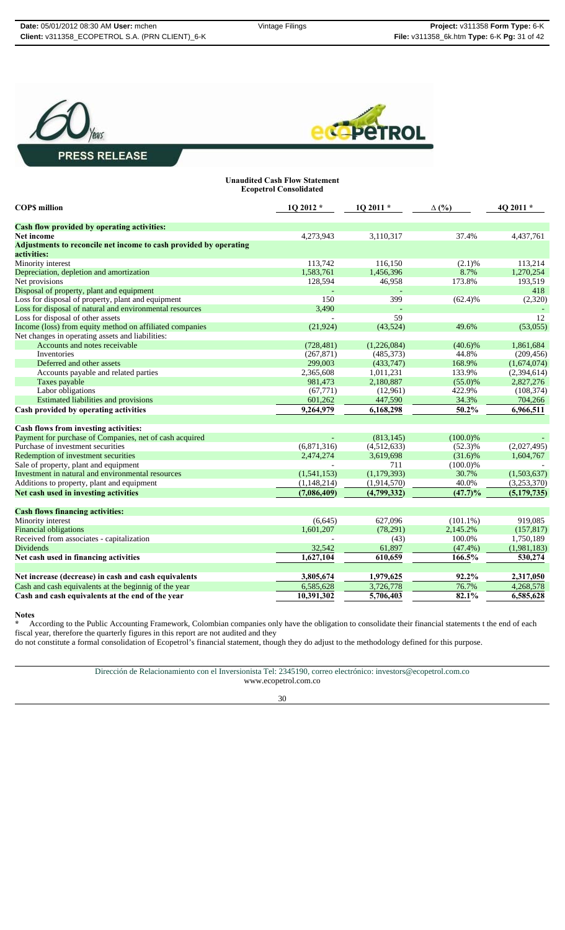



#### **Unaudited Cash Flow Statement Ecopetrol Consolidated**

| <b>COPS</b> million                                               | 1Q 2012 *     | 1Q 2011 *   | $\Delta$ (%) | 4Q 2011 *   |
|-------------------------------------------------------------------|---------------|-------------|--------------|-------------|
| <b>Cash flow provided by operating activities:</b>                |               |             |              |             |
| <b>Net income</b>                                                 | 4,273,943     | 3,110,317   | 37.4%        | 4,437,761   |
| Adjustments to reconcile net income to cash provided by operating |               |             |              |             |
| activities:                                                       |               |             |              |             |
| Minority interest                                                 | 113,742       | 116,150     | (2.1)%       | 113,214     |
| Depreciation, depletion and amortization                          | 1,583,761     | 1,456,396   | 8.7%         | 1,270,254   |
| Net provisions                                                    | 128,594       | 46,958      | 173.8%       | 193,519     |
| Disposal of property, plant and equipment                         |               |             |              | 418         |
| Loss for disposal of property, plant and equipment                | 150           | 399         | $(62.4)\%$   | (2,320)     |
| Loss for disposal of natural and environmental resources          | 3,490         |             |              |             |
| Loss for disposal of other assets                                 |               | 59          |              | 12          |
| Income (loss) from equity method on affiliated companies          | (21, 924)     | (43,524)    | 49.6%        | (53,055)    |
| Net changes in operating assets and liabilities:                  |               |             |              |             |
| Accounts and notes receivable                                     | (728, 481)    | (1,226,084) | $(40.6)\%$   | 1,861,684   |
| <b>Inventories</b>                                                | (267, 871)    | (485, 373)  | 44.8%        | (209, 456)  |
| Deferred and other assets                                         | 299,003       | (433,747)   | 168.9%       | (1,674,074) |
| Accounts payable and related parties                              | 2,365,608     | 1,011,231   | 133.9%       | (2,394,614) |
| Taxes payable                                                     | 981,473       | 2,180,887   | $(55.0)\%$   | 2,827,276   |
| Labor obligations                                                 | (67, 771)     | (12,961)    | 422.9%       | (108, 374)  |
| Estimated liabilities and provisions                              | 601,262       | 447,590     | 34.3%        | 704,266     |
| Cash provided by operating activities                             | 9,264,979     | 6,168,298   | 50.2%        | 6,966,511   |
|                                                                   |               |             |              |             |
| Cash flows from investing activities:                             |               |             |              |             |
| Payment for purchase of Companies, net of cash acquired           |               | (813, 145)  | $(100.0)\%$  |             |
| Purchase of investment securities                                 | (6,871,316)   | (4,512,633) | $(52.3)\%$   | (2,027,495) |
| Redemption of investment securities                               | 2,474,274     | 3,619,698   | $(31.6)\%$   | 1,604,767   |
| Sale of property, plant and equipment                             |               | 711         | $(100.0)\%$  |             |
| Investment in natural and environmental resources                 | (1,541,153)   | (1,179,393) | 30.7%        | (1,503,637) |
| Additions to property, plant and equipment                        | (1, 148, 214) | (1,914,570) | 40.0%        | (3,253,370) |
| Net cash used in investing activities                             | (7,086,409)   | (4,799,332) | (47.7)%      | (5,179,735) |
|                                                                   |               |             |              |             |
| <b>Cash flows financing activities:</b>                           |               |             |              |             |
| Minority interest                                                 | (6,645)       | 627,096     | $(101.1\%)$  | 919,085     |
| <b>Financial obligations</b>                                      | 1,601,207     | (78, 291)   | 2,145.2%     | (157, 817)  |
| Received from associates - capitalization                         |               | (43)        | 100.0%       | 1,750,189   |
| <b>Dividends</b>                                                  | 32,542        | 61,897      | $(47.4\%)$   | (1,981,183) |
| Net cash used in financing activities                             | 1,627,104     | 610,659     | 166.5%       | 530,274     |
|                                                                   |               |             |              |             |
| Net increase (decrease) in cash and cash equivalents              | 3,805,674     | 1,979,625   | 92.2%        | 2,317,050   |
| Cash and cash equivalents at the beginnig of the year             | 6,585,628     | 3,726,778   | 76.7%        | 4,268,578   |
| Cash and cash equivalents at the end of the year                  | 10,391,302    | 5,706,403   | 82.1%        | 6,585,628   |
|                                                                   |               |             |              |             |

**Notes**

**\*** According to the Public Accounting Framework, Colombian companies only have the obligation to consolidate their financial statements t the end of each fiscal year, therefore the quarterly figures in this report are not audited and they

do not constitute a formal consolidation of Ecopetrol's financial statement, though they do adjust to the methodology defined for this purpose.

Dirección de Relacionamiento con el Inversionista Tel: 2345190, correo electrónico: investors@ecopetrol.com.co www.ecopetrol.com.co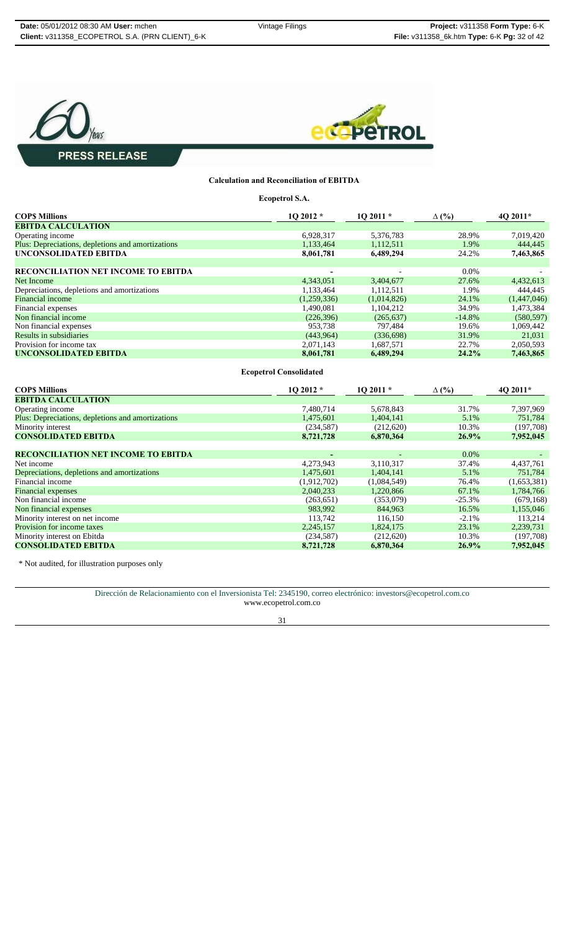



### **Calculation and Reconciliation of EBITDA**

**Ecopetrol S.A.**

| <b>COPS Millions</b>                              | $102012*$                | $102011*$   | $\Delta$ (%) | 4O 2011*    |
|---------------------------------------------------|--------------------------|-------------|--------------|-------------|
| <b>EBITDA CALCULATION</b>                         |                          |             |              |             |
| Operating income                                  | 6,928,317                | 5,376,783   | 28.9%        | 7,019,420   |
| Plus: Depreciations, depletions and amortizations | 1,133,464                | 1,112,511   | 1.9%         | 444,445     |
| UNCONSOLIDATED EBITDA                             | 8,061,781                | 6,489,294   | 24.2%        | 7,463,865   |
|                                                   |                          |             |              |             |
| <b>RECONCILIATION NET INCOME TO EBITDA</b>        | $\overline{\phantom{0}}$ |             | $0.0\%$      |             |
| Net Income                                        | 4,343,051                | 3,404,677   | 27.6%        | 4,432,613   |
| Depreciations, depletions and amortizations       | 1,133,464                | 1,112,511   | 1.9%         | 444,445     |
| <b>Financial income</b>                           | (1,259,336)              | (1,014,826) | 24.1%        | (1,447,046) |
| Financial expenses                                | 1,490,081                | 1,104,212   | 34.9%        | 1,473,384   |
| Non financial income                              | (226,396)                | (265, 637)  | $-14.8%$     | (580, 597)  |
| Non financial expenses                            | 953.738                  | 797,484     | 19.6%        | 1,069,442   |
| Results in subsidiaries                           | (443.964)                | (336,698)   | 31.9%        | 21,031      |
| Provision for income tax                          | 2,071,143                | 1.687.571   | 22.7%        | 2,050,593   |
| UNCONSOLIDATED EBITDA                             | 8,061,781                | 6,489,294   | 24.2%        | 7,463,865   |

**Ecopetrol Consolidated**

| <b>COPS Millions</b>                              | $102012*$   | $102011*$   | $\Delta$ (%) | 40 2011*    |
|---------------------------------------------------|-------------|-------------|--------------|-------------|
| <b>EBITDA CALCULATION</b>                         |             |             |              |             |
| Operating income                                  | 7,480,714   | 5,678,843   | 31.7%        | 7,397,969   |
| Plus: Depreciations, depletions and amortizations | 1,475,601   | 1,404,141   | 5.1%         | 751,784     |
| Minority interest                                 | (234, 587)  | (212,620)   | 10.3%        | (197,708)   |
| <b>CONSOLIDATED EBITDA</b>                        | 8,721,728   | 6,870,364   | 26.9%        | 7,952,045   |
|                                                   |             |             |              |             |
| <b>RECONCILIATION NET INCOME TO EBITDA</b>        | ٠           |             | $0.0\%$      |             |
| Net income                                        | 4,273,943   | 3,110,317   | 37.4%        | 4,437,761   |
| Depreciations, depletions and amortizations       | 1,475,601   | 1,404,141   | 5.1%         | 751,784     |
| Financial income                                  | (1,912,702) | (1,084,549) | 76.4%        | (1,653,381) |
| <b>Financial</b> expenses                         | 2,040,233   | 1,220,866   | 67.1%        | 1,784,766   |
| Non financial income                              | (263, 651)  | (353,079)   | $-25.3%$     | (679, 168)  |
| Non financial expenses                            | 983,992     | 844,963     | 16.5%        | 1,155,046   |
| Minority interest on net income                   | 113,742     | 116.150     | $-2.1%$      | 113,214     |
| Provision for income taxes                        | 2,245,157   | 1.824.175   | 23.1%        | 2,239,731   |
| Minority interest on Ebitda                       | (234, 587)  | (212,620)   | 10.3%        | (197,708)   |
| <b>CONSOLIDATED EBITDA</b>                        | 8,721,728   | 6.870.364   | 26.9%        | 7.952.045   |

\* Not audited, for illustration purposes only

Dirección de Relacionamiento con el Inversionista Tel: 2345190, correo electrónico: investors@ecopetrol.com.co www.ecopetrol.com.co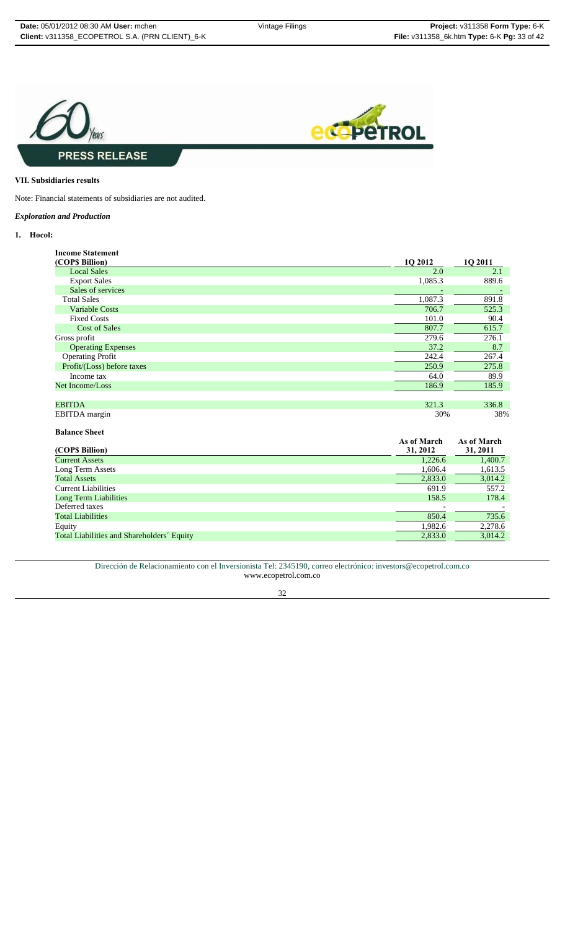

#### **VII. Subsidiaries results**

Note: Financial statements of subsidiaries are not audited.

#### *Exploration and Production*

#### **1. Hocol:**

| <b>Income Statement</b>    |         |         |
|----------------------------|---------|---------|
| (COPS Billion)             | 1Q 2012 | 1Q 2011 |
| <b>Local Sales</b>         | 2.0     | 2.1     |
| <b>Export Sales</b>        | 1,085.3 | 889.6   |
| Sales of services          |         |         |
| <b>Total Sales</b>         | 1,087.3 | 891.8   |
| <b>Variable Costs</b>      | 706.7   | 525.3   |
| <b>Fixed Costs</b>         | 101.0   | 90.4    |
| <b>Cost of Sales</b>       | 807.7   | 615.7   |
| Gross profit               | 279.6   | 276.1   |
| <b>Operating Expenses</b>  | 37.2    | 8.7     |
| <b>Operating Profit</b>    | 242.4   | 267.4   |
| Profit/(Loss) before taxes | 250.9   | 275.8   |
| Income tax                 | 64.0    | 89.9    |
| Net Income/Loss            | 186.9   | 185.9   |
|                            |         |         |
| <b>EBITDA</b>              | 321.3   | 336.8   |
| EBITDA margin              | 30%     | 38%     |

### **Balance Sheet**

| (COPS Billion)                             | As of March<br>31, 2012 | As of March<br>31, 2011 |
|--------------------------------------------|-------------------------|-------------------------|
| <b>Current Assets</b>                      | 1.226.6                 | 1,400.7                 |
| Long Term Assets                           | 1,606.4                 | 1,613.5                 |
| <b>Total Assets</b>                        | 2,833.0                 | 3,014.2                 |
| <b>Current Liabilities</b>                 | 691.9                   | 557.2                   |
| <b>Long Term Liabilities</b>               | 158.5                   | 178.4                   |
| Deferred taxes                             |                         |                         |
| <b>Total Liabilities</b>                   | 850.4                   | 735.6                   |
| Equity                                     | 1,982.6                 | 2,278.6                 |
| Total Liabilities and Shareholders' Equity | 2,833.0                 | 3,014.2                 |

Dirección de Relacionamiento con el Inversionista Tel: 2345190, correo electrónico: investors@ecopetrol.com.co www.ecopetrol.com.co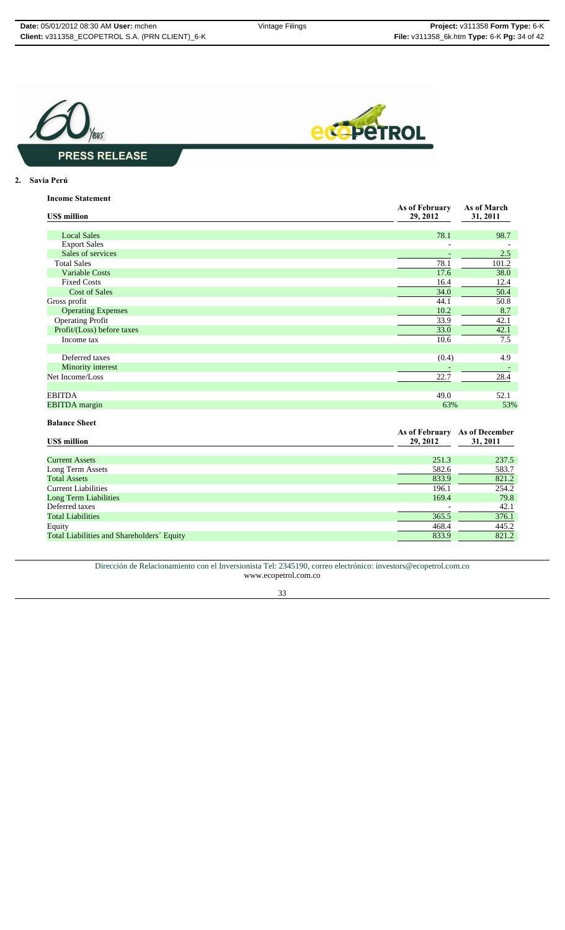

#### **2. Savia Perú**

| <b>Income Statement</b> |  |  |  |
|-------------------------|--|--|--|
|                         |  |  |  |

| <b>USS</b> million         | As of February<br>29, 2012   | As of March<br>31, 2011 |
|----------------------------|------------------------------|-------------------------|
| <b>Local Sales</b>         | 78.1                         | 98.7                    |
| <b>Export Sales</b>        |                              |                         |
| Sales of services          |                              | 2.5                     |
| <b>Total Sales</b>         | 78.1                         | 101.2                   |
| <b>Variable Costs</b>      | 17.6                         | 38.0                    |
| <b>Fixed Costs</b>         | 16.4                         | 12.4                    |
| <b>Cost of Sales</b>       | 34.0                         | 50.4                    |
| Gross profit               | 44.1                         | 50.8                    |
| <b>Operating Expenses</b>  | 10.2                         | 8.7                     |
| <b>Operating Profit</b>    | 33.9                         | 42.1                    |
| Profit/(Loss) before taxes | 33.0                         | 42.1                    |
| Income tax                 | 10.6                         | 7.5                     |
| Deferred taxes             | (0.4)                        | 4.9                     |
| Minority interest          |                              |                         |
| Net Income/Loss            | 22.7                         | 28.4                    |
| <b>EBITDA</b>              | 49.0                         | 52.1                    |
| <b>EBITDA</b> margin       | 63%                          | 53%                     |
| <b>Balance Sheet</b>       | As of Echmany As of December |                         |

| <b>US\$</b> million                        | <b>As of February</b><br>29, 2012 | As of December<br>31, 2011 |
|--------------------------------------------|-----------------------------------|----------------------------|
|                                            |                                   |                            |
| <b>Current Assets</b>                      | 251.3                             | 237.5                      |
| Long Term Assets                           | 582.6                             | 583.7                      |
| <b>Total Assets</b>                        | 833.9                             | 821.2                      |
| <b>Current Liabilities</b>                 | 196.1                             | 254.2                      |
| <b>Long Term Liabilities</b>               | 169.4                             | 79.8                       |
| Deferred taxes                             |                                   | 42.1                       |
| <b>Total Liabilities</b>                   | 365.5                             | 376.1                      |
| Equity                                     | 468.4                             | 445.2                      |
| Total Liabilities and Shareholders' Equity | 833.9                             | 821.2                      |
|                                            |                                   |                            |

Dirección de Relacionamiento con el Inversionista Tel: 2345190, correo electrónico: investors@ecopetrol.com.co www.ecopetrol.com.co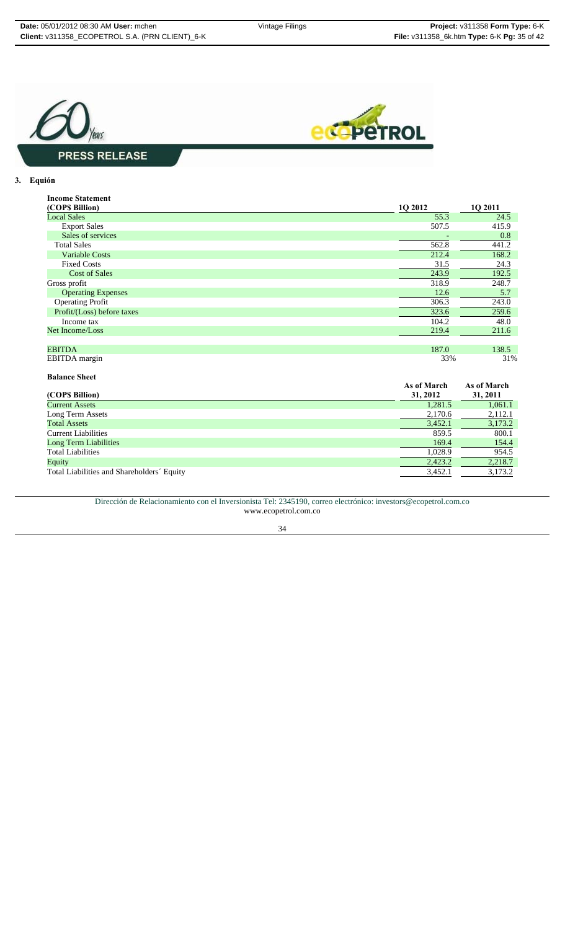

#### **3. Equión**

| <b>Income Statement</b>    |         |         |
|----------------------------|---------|---------|
| (COP\$ Billion)            | 1Q 2012 | 1Q 2011 |
| <b>Local Sales</b>         | 55.3    | 24.5    |
| <b>Export Sales</b>        | 507.5   | 415.9   |
| Sales of services          |         | 0.8     |
| <b>Total Sales</b>         | 562.8   | 441.2   |
| <b>Variable Costs</b>      | 212.4   | 168.2   |
| <b>Fixed Costs</b>         | 31.5    | 24.3    |
| <b>Cost of Sales</b>       | 243.9   | 192.5   |
| Gross profit               | 318.9   | 248.7   |
| <b>Operating Expenses</b>  | 12.6    | 5.7     |
| <b>Operating Profit</b>    | 306.3   | 243.0   |
| Profit/(Loss) before taxes | 323.6   | 259.6   |
| Income tax                 | 104.2   | 48.0    |
| Net Income/Loss            | 219.4   | 211.6   |
|                            |         |         |
| <b>EBITDA</b>              | 187.0   | 138.5   |
| EBITDA margin              | 33%     | 31%     |

**Balance Sheet (COP\$ Billion) As of March 31, 2012 As of March 31, 2011**<br>1,061.1<br>2,112.1 **Current Assets** 1,061.1 **1,061.1** 1,061.1 Long Term Assets 2,170.6 2,112.1  $\frac{3}{452.1}$  3,173.2 Eurrent Liabilities 859.5 800.1 and 2011 154.4 859.5 800.1 and 2012 154.4 2013 154.4 2013 154.4 2014 154.4 2014 154.4 2015 154.4 2015 154.4 2015 154.4 2015 154.4 2015 154.4 2015 154.4 2015 154.4 2015 154.4 2015 154.4 2015 Long Term Liabilities Total Liabilities  $\frac{1,028.9}{2,423.2}$   $\frac{954.5}{2,218.7}$ Equity 2,423.2 2,218.7 Total Liabilities and Shareholders´ Equity 3,173.2

Dirección de Relacionamiento con el Inversionista Tel: 2345190, correo electrónico: investors@ecopetrol.com.co www.ecopetrol.com.co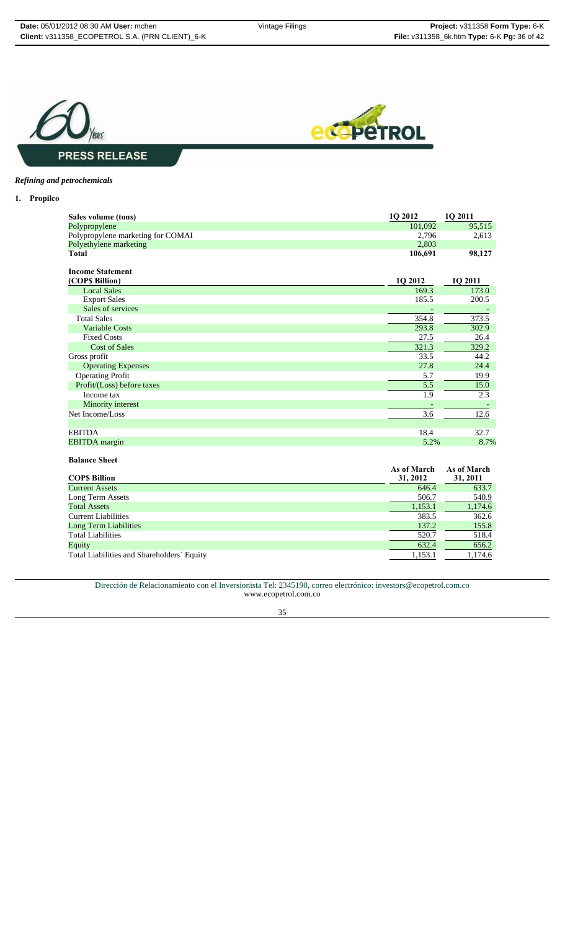



### *Refining and petrochemicals*

**Balance Sheet** 

**1. Propilco**

| Sales volume (tons)               | 1Q 2012 | 1Q 2011 |
|-----------------------------------|---------|---------|
| Polypropylene                     | 101,092 | 95,515  |
| Polypropylene marketing for COMAI | 2,796   | 2,613   |
| Polyethylene marketing            | 2,803   |         |
| Total                             | 106,691 | 98,127  |
| <b>Income Statement</b>           |         |         |
| (COP\$ Billion)                   | 1Q 2012 | 1Q 2011 |
| <b>Local Sales</b>                | 169.3   | 173.0   |
| <b>Export Sales</b>               | 185.5   | 200.5   |
| Sales of services                 |         |         |
| <b>Total Sales</b>                | 354.8   | 373.5   |
| <b>Variable Costs</b>             | 293.8   | 302.9   |
| <b>Fixed Costs</b>                | 27.5    | 26.4    |
| <b>Cost of Sales</b>              | 321.3   | 329.2   |
| Gross profit                      | 33.5    | 44.2    |
| <b>Operating Expenses</b>         | 27.8    | 24.4    |
| <b>Operating Profit</b>           | 5.7     | 19.9    |
| Profit/(Loss) before taxes        | 5.5     | 15.0    |
| Income tax                        | 1.9     | 2.3     |
| Minority interest                 |         |         |
| Net Income/Loss                   | 3.6     | 12.6    |
|                                   |         |         |
| <b>EBITDA</b>                     | 18.4    | 32.7    |
| <b>EBITDA</b> margin              | 5.2%    | 8.7%    |

| <b>COPS Billion</b>                        | As of March<br>31, 2012 | As of March<br>31, 2011 |
|--------------------------------------------|-------------------------|-------------------------|
| <b>Current Assets</b>                      | 646.4                   | 633.7                   |
| Long Term Assets                           | 506.7                   | 540.9                   |
| <b>Total Assets</b>                        | 1,153.1                 | 1,174.6                 |
| <b>Current Liabilities</b>                 | 383.5                   | 362.6                   |
| <b>Long Term Liabilities</b>               | 137.2                   | 155.8                   |
| <b>Total Liabilities</b>                   | 520.7                   | 518.4                   |
| Equity                                     | 632.4                   | 656.2                   |
| Total Liabilities and Shareholders' Equity | 1,153.1                 | 1,174.6                 |

Dirección de Relacionamiento con el Inversionista Tel: 2345190, correo electrónico: investors@ecopetrol.com.co www.ecopetrol.com.co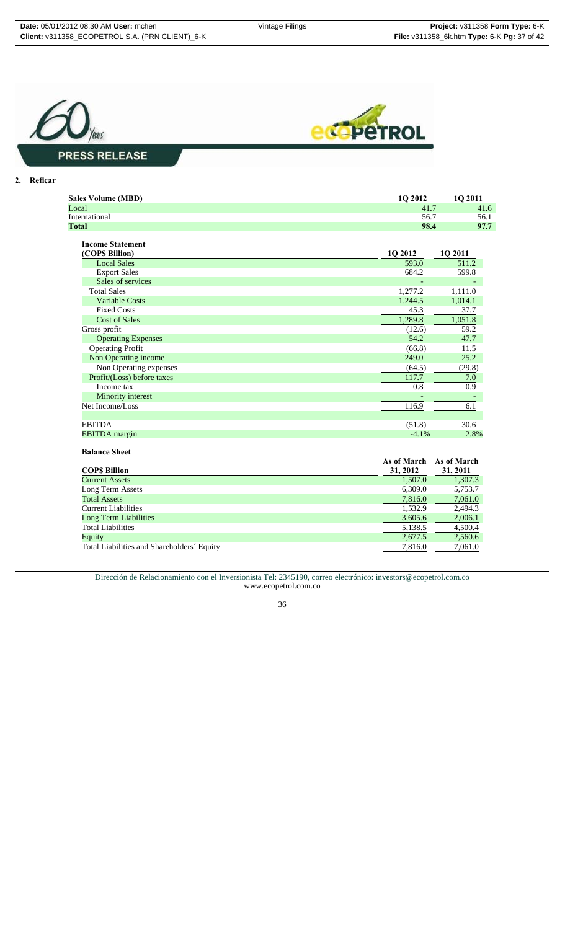



### **2. Reficar**

| <b>Sales Volume (MBD)</b> | <b>10 2012</b> | O 2011 |
|---------------------------|----------------|--------|
| Local                     | 41.7           | 41.6   |
| International             | 56.7           | 56.1   |
| <b>Total</b>              | 98.4           | 97.7   |
|                           |                |        |

| <b>Income Statement</b>    |          |         |
|----------------------------|----------|---------|
| (COP\$ Billion)            | 1Q 2012  | 10 2011 |
| <b>Local Sales</b>         | 593.0    | 511.2   |
| <b>Export Sales</b>        | 684.2    | 599.8   |
| Sales of services          |          |         |
| <b>Total Sales</b>         | 1,277.2  | 1,111.0 |
| <b>Variable Costs</b>      | 1,244.5  | 1,014.1 |
| <b>Fixed Costs</b>         | 45.3     | 37.7    |
| <b>Cost of Sales</b>       | 1,289.8  | 1,051.8 |
| Gross profit               | (12.6)   | 59.2    |
| <b>Operating Expenses</b>  | 54.2     | 47.7    |
| <b>Operating Profit</b>    | (66.8)   | 11.5    |
| Non Operating income       | 249.0    | 25.2    |
| Non Operating expenses     | (64.5)   | (29.8)  |
| Profit/(Loss) before taxes | 117.7    | 7.0     |
| Income tax                 | 0.8      | 0.9     |
| Minority interest          |          |         |
| Net Income/Loss            | 116.9    | 6.1     |
|                            |          |         |
| <b>EBITDA</b>              | (51.8)   | 30.6    |
| <b>EBITDA</b> margin       | $-4.1\%$ | 2.8%    |

#### **Balance Sheet**

| ракинее энес                               |             |             |
|--------------------------------------------|-------------|-------------|
|                                            | As of March | As of March |
| <b>COPS Billion</b>                        | 31, 2012    | 31, 2011    |
| <b>Current Assets</b>                      | 1,507.0     | 1,307.3     |
| Long Term Assets                           | 6,309.0     | 5,753.7     |
| <b>Total Assets</b>                        | 7,816.0     | 7,061.0     |
| <b>Current Liabilities</b>                 | 1.532.9     | 2.494.3     |
| Long Term Liabilities                      | 3,605.6     | 2,006.1     |
| <b>Total Liabilities</b>                   | 5,138.5     | 4,500.4     |
| Equity                                     | 2.677.5     | 2,560.6     |
| Total Liabilities and Shareholders' Equity | 7,816.0     | 7,061.0     |

Dirección de Relacionamiento con el Inversionista Tel: 2345190, correo electrónico: investors@ecopetrol.com.co www.ecopetrol.com.co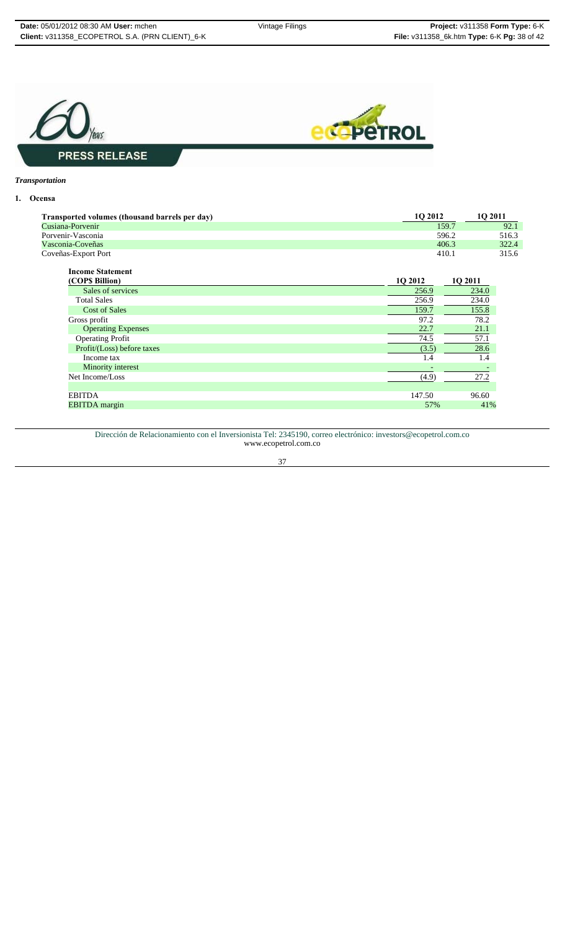

#### *Transportation*

#### **1. Ocensa**

| Transported volumes (thousand barrels per day) | 10 2012 | <b>1O 2011</b> |
|------------------------------------------------|---------|----------------|
| Cusiana-Porvenir                               | 159.7   | 92.1           |
| Porvenir-Vasconia                              | 596.2   | 516.3          |
| Vasconia-Coveñas                               | 406.3   | 322.4          |
| Coveñas-Export Port                            | 410.1   | 315.6          |

| <b>Income Statement</b>    |         |         |
|----------------------------|---------|---------|
| (COP\$ Billion)            | 1Q 2012 | 1Q 2011 |
| Sales of services          | 256.9   | 234.0   |
| <b>Total Sales</b>         | 256.9   | 234.0   |
| <b>Cost of Sales</b>       | 159.7   | 155.8   |
| Gross profit               | 97.2    | 78.2    |
| <b>Operating Expenses</b>  | 22.7    | 21.1    |
| <b>Operating Profit</b>    | 74.5    | 57.1    |
| Profit/(Loss) before taxes | (3.5)   | 28.6    |
| Income tax                 | 1.4     | 1.4     |
| Minority interest          |         |         |
| Net Income/Loss            | (4.9)   | 27.2    |
|                            |         |         |
| <b>EBITDA</b>              | 147.50  | 96.60   |
| <b>EBITDA</b> margin       | 57%     | 41%     |

Dirección de Relacionamiento con el Inversionista Tel: 2345190, correo electrónico: investors@ecopetrol.com.co www.ecopetrol.com.co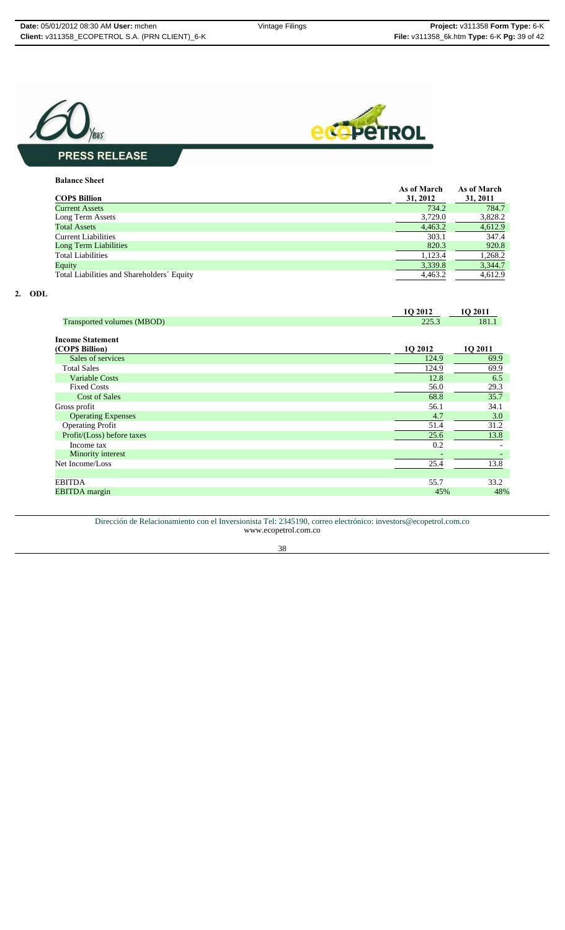



### **Balance Sheet**

| <b>COPS Billion</b>                        | As of March<br>31, 2012 | As of March<br>31, 2011 |
|--------------------------------------------|-------------------------|-------------------------|
| <b>Current Assets</b>                      | 734.2                   | 784.7                   |
| Long Term Assets                           | 3,729.0                 | 3,828.2                 |
| <b>Total Assets</b>                        | 4,463.2                 | 4,612.9                 |
| <b>Current Liabilities</b>                 | 303.1                   | 347.4                   |
| <b>Long Term Liabilities</b>               | 820.3                   | 920.8                   |
| <b>Total Liabilities</b>                   | 1.123.4                 | 1,268.2                 |
| Equity                                     | 3,339.8                 | 3,344.7                 |
| Total Liabilities and Shareholders' Equity | 4.463.2                 | 4,612.9                 |

### **2. ODL**

|                                            | 1Q 2012 | 1Q 2011 |
|--------------------------------------------|---------|---------|
| Transported volumes (MBOD)                 | 225.3   | 181.1   |
| <b>Income Statement</b><br>(COP\$ Billion) | 1Q 2012 | 1Q 2011 |
| Sales of services                          | 124.9   | 69.9    |
| <b>Total Sales</b>                         | 124.9   | 69.9    |
| <b>Variable Costs</b>                      | 12.8    | 6.5     |
| <b>Fixed Costs</b>                         | 56.0    | 29.3    |
| <b>Cost of Sales</b>                       | 68.8    | 35.7    |
| Gross profit                               | 56.1    | 34.1    |
| <b>Operating Expenses</b>                  | 4.7     | 3.0     |
| <b>Operating Profit</b>                    | 51.4    | 31.2    |
| Profit/(Loss) before taxes                 | 25.6    | 13.8    |
| Income tax                                 | 0.2     |         |
| Minority interest                          |         |         |
| Net Income/Loss                            | 25.4    | 13.8    |
|                                            |         |         |
| <b>EBITDA</b>                              | 55.7    | 33.2    |
| <b>EBITDA</b> margin                       | 45%     | 48%     |
|                                            |         |         |

#### Dirección de Relacionamiento con el Inversionista Tel: 2345190, correo electrónico: investors@ecopetrol.com.co www.ecopetrol.com.co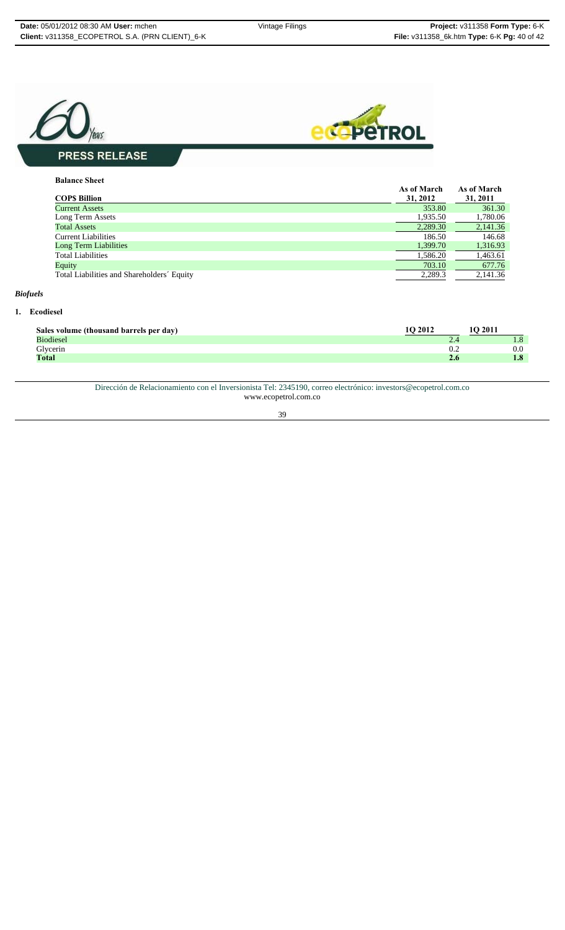

#### **Balance Sheet**

|                                            | As of March | As of March |
|--------------------------------------------|-------------|-------------|
| <b>COPS Billion</b>                        | 31, 2012    | 31, 2011    |
| <b>Current Assets</b>                      | 353.80      | 361.30      |
| Long Term Assets                           | 1,935.50    | 1,780.06    |
| <b>Total Assets</b>                        | 2,289.30    | 2,141.36    |
| <b>Current Liabilities</b>                 | 186.50      | 146.68      |
| <b>Long Term Liabilities</b>               | 1,399.70    | 1,316.93    |
| <b>Total Liabilities</b>                   | 1,586.20    | 1,463.61    |
| Equity                                     | 703.10      | 677.76      |
| Total Liabilities and Shareholders' Equity | 2.289.3     | 2.141.36    |

### *Biofuels*

### **1. Ecodiesel**

| Sales volume (thousand barrels per day) | $^{\circ}$ O 2012 | <b>'O 2011</b> |
|-----------------------------------------|-------------------|----------------|
| <b>Biodiesel</b>                        | $\sim$            | 1.ŏ            |
| Glycerin                                | 0.2               | 0.0            |
| <b>Total</b>                            | 2.6               | 1.8            |

Dirección de Relacionamiento con el Inversionista Tel: 2345190, correo electrónico: investors@ecopetrol.com.co www.ecopetrol.com.co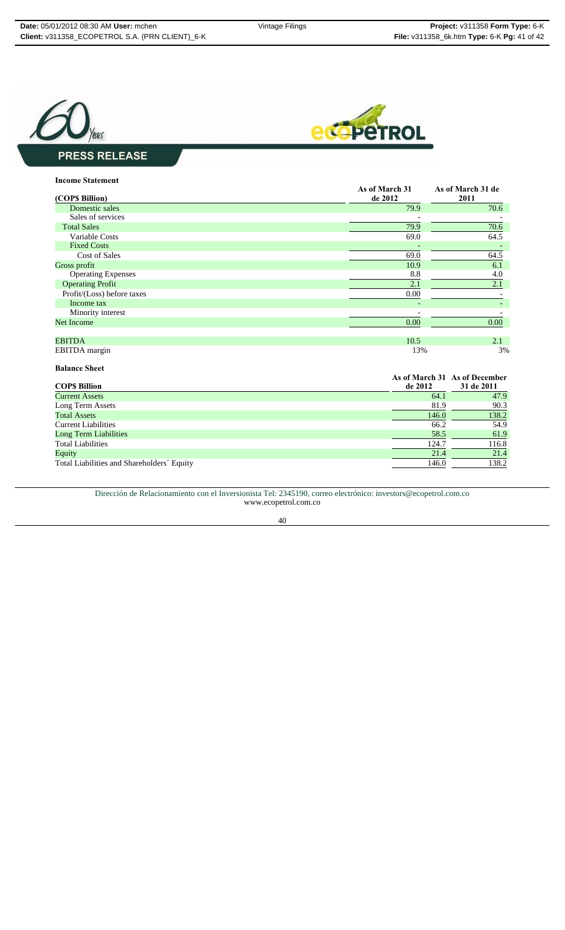



| <b>Income Statement</b>    |                           |                           |
|----------------------------|---------------------------|---------------------------|
| (COP\$ Billion)            | As of March 31<br>de 2012 | As of March 31 de<br>2011 |
| Domestic sales             | 79.9                      | 70.6                      |
| Sales of services          |                           |                           |
| <b>Total Sales</b>         | 79.9                      | 70.6                      |
| Variable Costs             | 69.0                      | 64.5                      |
| <b>Fixed Costs</b>         |                           |                           |
| <b>Cost of Sales</b>       | 69.0                      | 64.5                      |
| Gross profit               | 10.9                      | 6.1                       |
| <b>Operating Expenses</b>  | 8.8                       | 4.0                       |
| <b>Operating Profit</b>    | 2.1                       | 2.1                       |
| Profit/(Loss) before taxes | 0.00                      |                           |
| Income tax                 |                           |                           |
| Minority interest          |                           |                           |
| <b>Net Income</b>          | 0.00                      | 0.00                      |
| <b>EBITDA</b>              | 10.5                      | 2.1                       |
| <b>EBITDA</b> margin       | 13%                       | 3%                        |
| <b>Balance Sheet</b>       |                           |                           |

| <b>COPS Billion</b>                        | de 2012 | As of March 31 As of December<br>31 de 2011 |
|--------------------------------------------|---------|---------------------------------------------|
| <b>Current Assets</b>                      | 64.1    | 47.9                                        |
|                                            |         |                                             |
| Long Term Assets                           | 81.9    | 90.3                                        |
| <b>Total Assets</b>                        | 146.0   | 138.2                                       |
| <b>Current Liabilities</b>                 | 66.2    | 54.9                                        |
| <b>Long Term Liabilities</b>               | 58.5    | 61.9                                        |
| <b>Total Liabilities</b>                   | 124.7   | 116.8                                       |
| Equity                                     | 21.4    | 21.4                                        |
| Total Liabilities and Shareholders' Equity | 146.0   | 138.2                                       |
|                                            |         |                                             |

Dirección de Relacionamiento con el Inversionista Tel: 2345190, correo electrónico: investors@ecopetrol.com.co www.ecopetrol.com.co